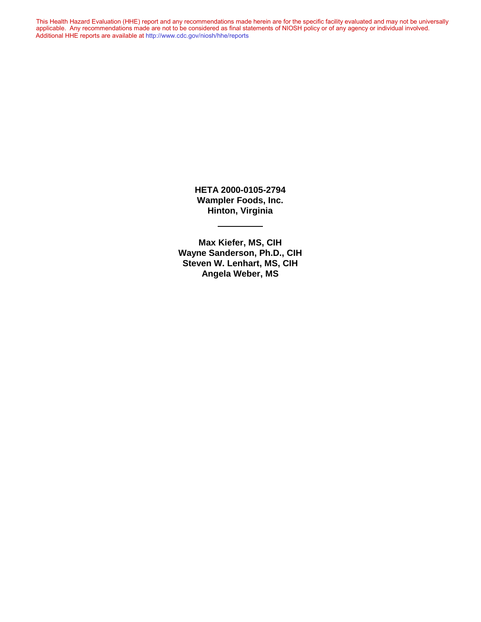This Health Hazard Evaluation (HHE) report and any recommendations made herein are for the specific facility evaluated and may not be universally applicable. Any recommendations made are not to be considered as final statements of NIOSH policy or of any agency or individual involved. Additional HHE reports are available at <http://www.cdc.gov/niosh/hhe/reports> Additional HHE reports are available at <http://www.cdc.gov/niosh/hhe/reports>This Health Hazard Evaluation (HHE) report and any recommendations made herein are for the specific facility evaluated and may not be universally applicable. Any recommendations made are not to be considered as final statements of NIOSH policy or of any agency or individual involved

> **HETA 2000-0105-2794 Wampler Foods, Inc. Hinton, Virginia**

**Max Kiefer, MS, CIH Wayne Sanderson, Ph.D., CIH Steven W. Lenhart, MS, CIH Angela Weber, MS**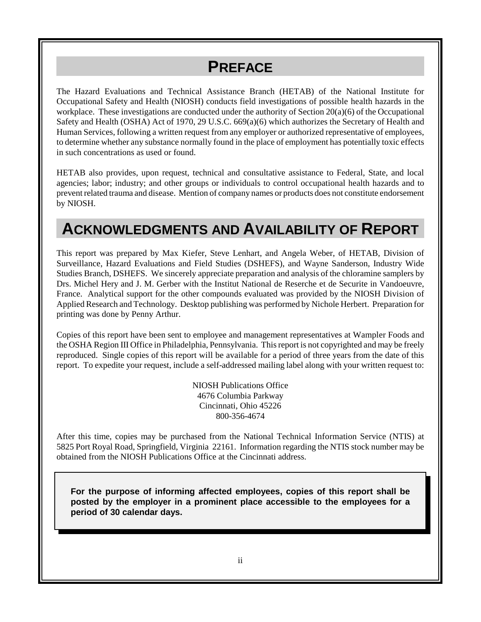# **PREFACE**

The Hazard Evaluations and Technical Assistance Branch (HETAB) of the National Institute for Occupational Safety and Health (NIOSH) conducts field investigations of possible health hazards in the workplace. These investigations are conducted under the authority of Section  $20(a)(6)$  of the Occupational Safety and Health (OSHA) Act of 1970, 29 U.S.C. 669(a)(6) which authorizes the Secretary of Health and Human Services, following a written request from any employer or authorized representative of employees, to determine whether any substance normally found in the place of employment has potentially toxic effects in such concentrations as used or found.

HETAB also provides, upon request, technical and consultative assistance to Federal, State, and local agencies; labor; industry; and other groups or individuals to control occupational health hazards and to prevent related trauma and disease. Mention of company names or products does not constitute endorsement by NIOSH.

## **ACKNOWLEDGMENTS AND AVAILABILITY OF REPORT**

This report was prepared by Max Kiefer, Steve Lenhart, and Angela Weber, of HETAB, Division of Surveillance, Hazard Evaluations and Field Studies (DSHEFS), and Wayne Sanderson, Industry Wide Studies Branch, DSHEFS. We sincerely appreciate preparation and analysis of the chloramine samplers by Drs. Michel Hery and J. M. Gerber with the Institut National de Reserche et de Securite in Vandoeuvre, France. Analytical support for the other compounds evaluated was provided by the NIOSH Division of Applied Research and Technology. Desktop publishing was performed by Nichole Herbert. Preparation for printing was done by Penny Arthur.

Copies of this report have been sent to employee and management representatives at Wampler Foods and the OSHA Region III Office in Philadelphia, Pennsylvania. This report is not copyrighted and may be freely reproduced. Single copies of this report will be available for a period of three years from the date of this report. To expedite your request, include a self-addressed mailing label along with your written request to:

> NIOSH Publications Office 4676 Columbia Parkway Cincinnati, Ohio 45226 800-356-4674

After this time, copies may be purchased from the National Technical Information Service (NTIS) at 5825 Port Royal Road, Springfield, Virginia 22161. Information regarding the NTIS stock number may be obtained from the NIOSH Publications Office at the Cincinnati address.

**For the purpose of informing affected employees, copies of this report shall be posted by the employer in a prominent place accessible to the employees for a period of 30 calendar days.**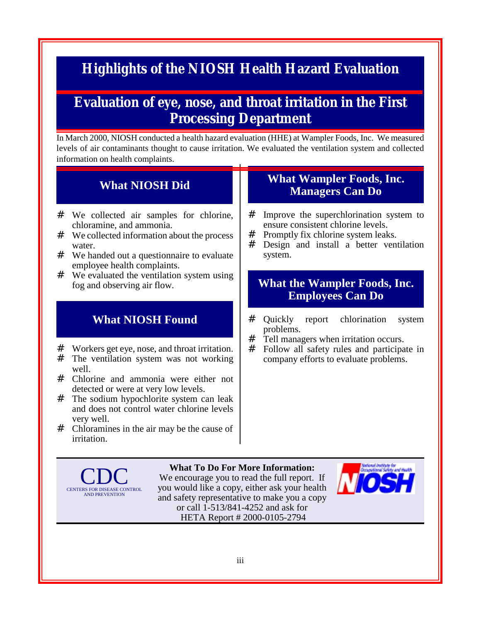# **Highlights of the NIOSH Health Hazard Evaluation**

#### **Evaluation of eye, nose, and throat irritation in the First Processing Department**

In March 2000, NIOSH conducted a health hazard evaluation (HHE) at Wampler Foods, Inc. We measured levels of air contaminants thought to cause irritation. We evaluated the ventilation system and collected information on health complaints.

#### **What NIOSH Did**

- # We collected air samples for chlorine, chloramine, and ammonia.
- # We collected information about the process water.
- # We handed out a questionnaire to evaluate employee health complaints.
- # We evaluated the ventilation system using fog and observing air flow.

#### **What NIOSH Found**

- # Workers get eye, nose, and throat irritation.<br># The ventilation system was not working
- The ventilation system was not working well.
- # Chlorine and ammonia were either not detected or were at very low levels.
- # The sodium hypochlorite system can leak and does not control water chlorine levels very well.
- # Chloramines in the air may be the cause of irritation.

#### **What Wampler Foods, Inc. Managers Can Do**

- # Improve the superchlorination system to ensure consistent chlorine levels.
- # Promptly fix chlorine system leaks.
- # Design and install a better ventilation system.

#### **What the Wampler Foods, Inc. Employees Can Do**

- # Quickly report chlorination system problems.
- # Tell managers when irritation occurs.<br># Follow all safety rules and narticina
- Follow all safety rules and participate in company efforts to evaluate problems.



**What To Do For More Information:** We encourage you to read the full report. If you would like a copy, either ask your health and safety representative to make you a copy or call 1-513/841-4252 and ask for HETA Report # 2000-0105-2794

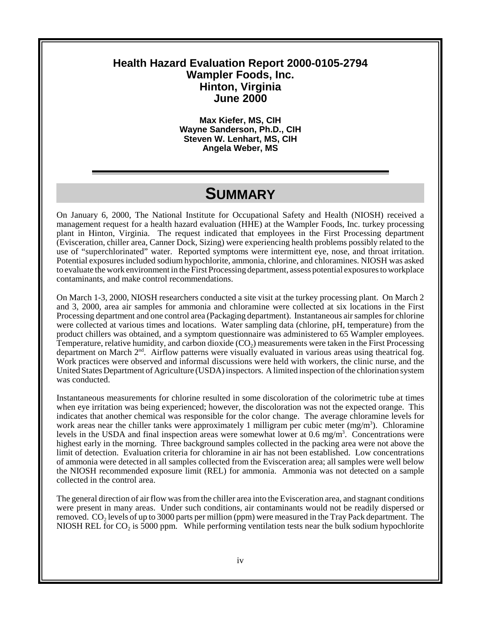#### **Health Hazard Evaluation Report 2000-0105-2794 Wampler Foods, Inc. Hinton, Virginia June 2000**

**Max Kiefer, MS, CIH Wayne Sanderson, Ph.D., CIH Steven W. Lenhart, MS, CIH Angela Weber, MS**

### **SUMMARY**

On January 6, 2000, The National Institute for Occupational Safety and Health (NIOSH) received a management request for a health hazard evaluation (HHE) at the Wampler Foods, Inc. turkey processing plant in Hinton, Virginia. The request indicated that employees in the First Processing department (Evisceration, chiller area, Canner Dock, Sizing) were experiencing health problems possibly related to the use of "superchlorinated" water. Reported symptoms were intermittent eye, nose, and throat irritation. Potential exposures included sodium hypochlorite, ammonia, chlorine, and chloramines. NIOSH was asked to evaluate the work environment in the First Processing department, assess potential exposures to workplace contaminants, and make control recommendations.

On March 1-3, 2000, NIOSH researchers conducted a site visit at the turkey processing plant. On March 2 and 3, 2000, area air samples for ammonia and chloramine were collected at six locations in the First Processing department and one control area (Packaging department). Instantaneous air samples for chlorine were collected at various times and locations. Water sampling data (chlorine, pH, temperature) from the product chillers was obtained, and a symptom questionnaire was administered to 65 Wampler employees. Temperature, relative humidity, and carbon dioxide  $(CO<sub>2</sub>)$  measurements were taken in the First Processing department on March 2<sup>nd</sup>. Airflow patterns were visually evaluated in various areas using theatrical fog. Work practices were observed and informal discussions were held with workers, the clinic nurse, and the United States Department of Agriculture (USDA) inspectors. A limited inspection of the chlorination system was conducted.

Instantaneous measurements for chlorine resulted in some discoloration of the colorimetric tube at times when eye irritation was being experienced; however, the discoloration was not the expected orange. This indicates that another chemical was responsible for the color change. The average chloramine levels for work areas near the chiller tanks were approximately 1 milligram per cubic meter (mg/m<sup>3</sup>). Chloramine levels in the USDA and final inspection areas were somewhat lower at 0.6 mg/m<sup>3</sup>. Concentrations were highest early in the morning. Three background samples collected in the packing area were not above the limit of detection. Evaluation criteria for chloramine in air has not been established. Low concentrations of ammonia were detected in all samples collected from the Evisceration area; all samples were well below the NIOSH recommended exposure limit (REL) for ammonia. Ammonia was not detected on a sample collected in the control area.

The general direction of air flow was from the chiller area into the Evisceration area, and stagnant conditions were present in many areas. Under such conditions, air contaminants would not be readily dispersed or removed.  $CO_2$  levels of up to 3000 parts per million (ppm) were measured in the Tray Pack department. The NIOSH REL for  $CO<sub>2</sub>$  is 5000 ppm. While performing ventilation tests near the bulk sodium hypochlorite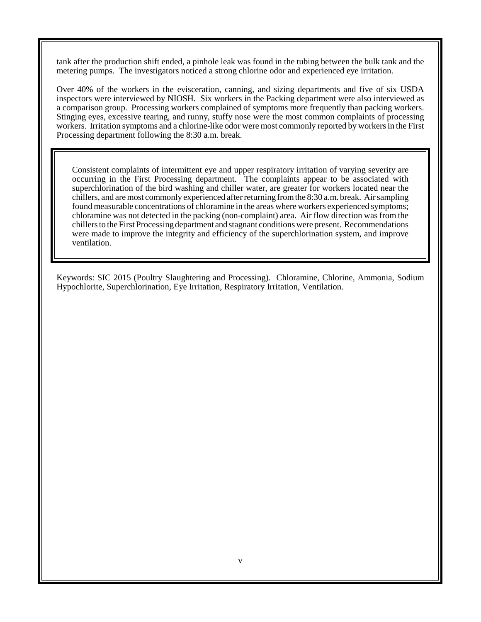tank after the production shift ended, a pinhole leak was found in the tubing between the bulk tank and the metering pumps. The investigators noticed a strong chlorine odor and experienced eye irritation.

Over 40% of the workers in the evisceration, canning, and sizing departments and five of six USDA inspectors were interviewed by NIOSH. Six workers in the Packing department were also interviewed as a comparison group. Processing workers complained of symptoms more frequently than packing workers. Stinging eyes, excessive tearing, and runny, stuffy nose were the most common complaints of processing workers. Irritation symptoms and a chlorine-like odor were most commonly reported by workers in the First Processing department following the 8:30 a.m. break.

Consistent complaints of intermittent eye and upper respiratory irritation of varying severity are occurring in the First Processing department. The complaints appear to be associated with superchlorination of the bird washing and chiller water, are greater for workers located near the chillers, and are most commonly experienced after returning from the 8:30 a.m. break. Air sampling found measurable concentrations of chloramine in the areas where workers experienced symptoms; chloramine was not detected in the packing (non-complaint) area. Air flow direction was from the chillers to the First Processing department and stagnant conditions were present. Recommendations were made to improve the integrity and efficiency of the superchlorination system, and improve ventilation.

Keywords: SIC 2015 (Poultry Slaughtering and Processing). Chloramine, Chlorine, Ammonia, Sodium Hypochlorite, Superchlorination, Eye Irritation, Respiratory Irritation, Ventilation.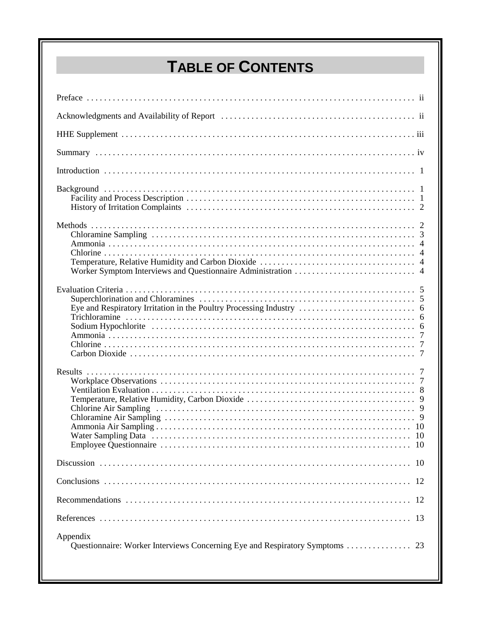# **TABLE OF CONTENTS**

| 12       |
|----------|
| 12       |
| 13       |
| Appendix |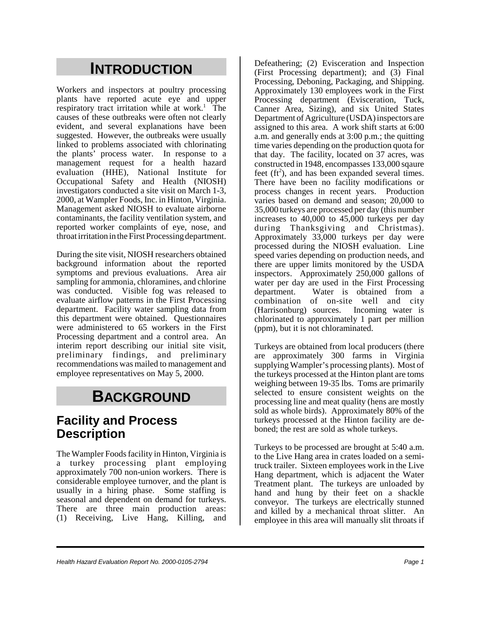# **INTRODUCTION**

Workers and inspectors at poultry processing plants have reported acute eye and upper respiratory tract irritation while at work.<sup>1</sup> The causes of these outbreaks were often not clearly evident, and several explanations have been suggested. However, the outbreaks were usually linked to problems associated with chlorinating the plants' process water. In response to a management request for a health hazard evaluation (HHE), National Institute for Occupational Safety and Health (NIOSH) investigators conducted a site visit on March 1-3, 2000, at Wampler Foods, Inc. in Hinton, Virginia. Management asked NIOSH to evaluate airborne contaminants, the facility ventilation system, and reported worker complaints of eye, nose, and throat irritation in the First Processing department.

During the site visit, NIOSH researchers obtained background information about the reported symptoms and previous evaluations. Area air sampling for ammonia, chloramines, and chlorine was conducted. Visible fog was released to evaluate airflow patterns in the First Processing department. Facility water sampling data from this department were obtained. Questionnaires were administered to 65 workers in the First Processing department and a control area. An interim report describing our initial site visit, preliminary findings, and preliminary recommendations was mailed to management and employee representatives on May 5, 2000.

# **BACKGROUND**

#### **Facility and Process Description**

The Wampler Foods facility in Hinton, Virginia is a turkey processing plant employing approximately 700 non-union workers. There is considerable employee turnover, and the plant is usually in a hiring phase. Some staffing is seasonal and dependent on demand for turkeys. There are three main production areas: (1) Receiving, Live Hang, Killing, and

Defeathering; (2) Evisceration and Inspection (First Processing department); and (3) Final Processing, Deboning, Packaging, and Shipping. Approximately 130 employees work in the First Processing department (Evisceration, Tuck, Canner Area, Sizing), and six United States Department of Agriculture (USDA) inspectors are assigned to this area. A work shift starts at 6:00 a.m. and generally ends at 3:00 p.m.; the quitting time varies depending on the production quota for that day. The facility, located on 37 acres, was constructed in 1948, encompasses 133,000 sqaure feet ( $ft^2$ ), and has been expanded several times. There have been no facility modifications or process changes in recent years. Production varies based on demand and season; 20,000 to 35,000 turkeys are processed per day (this number increases to 40,000 to 45,000 turkeys per day during Thanksgiving and Christmas). Approximately 33,000 turkeys per day were processed during the NIOSH evaluation. Line speed varies depending on production needs, and there are upper limits monitored by the USDA inspectors. Approximately 250,000 gallons of water per day are used in the First Processing department. Water is obtained from a combination of on-site well and city (Harrisonburg) sources. Incoming water is chlorinated to approximately 1 part per million (ppm), but it is not chloraminated.

Turkeys are obtained from local producers (there are approximately 300 farms in Virginia supplying Wampler's processing plants). Most of the turkeys processed at the Hinton plant are toms weighing between 19-35 lbs. Toms are primarily selected to ensure consistent weights on the processing line and meat quality (hens are mostly sold as whole birds). Approximately 80% of the turkeys processed at the Hinton facility are deboned; the rest are sold as whole turkeys.

Turkeys to be processed are brought at 5:40 a.m. to the Live Hang area in crates loaded on a semitruck trailer. Sixteen employees work in the Live Hang department, which is adjacent the Water Treatment plant. The turkeys are unloaded by hand and hung by their feet on a shackle conveyor. The turkeys are electrically stunned and killed by a mechanical throat slitter. An employee in this area will manually slit throats if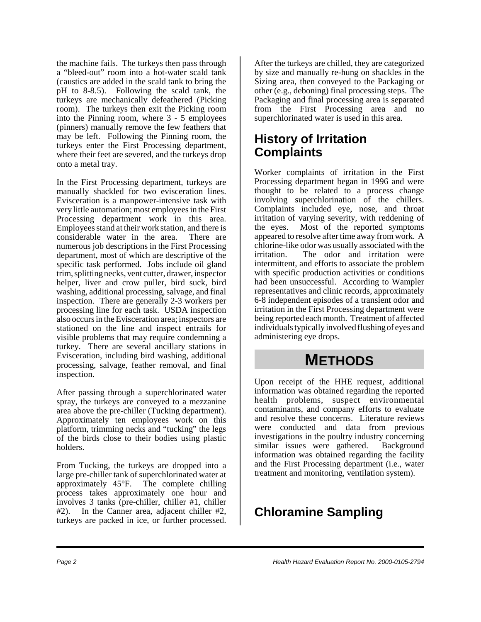the machine fails. The turkeys then pass through a "bleed-out" room into a hot-water scald tank (caustics are added in the scald tank to bring the pH to 8-8.5). Following the scald tank, the turkeys are mechanically defeathered (Picking room). The turkeys then exit the Picking room into the Pinning room, where 3 - 5 employees (pinners) manually remove the few feathers that may be left. Following the Pinning room, the turkeys enter the First Processing department, where their feet are severed, and the turkeys drop onto a metal tray.

In the First Processing department, turkeys are manually shackled for two evisceration lines. Evisceration is a manpower-intensive task with very little automation; most employees in the First Processing department work in this area. Employees stand at their work station, and there is considerable water in the area. There are numerous job descriptions in the First Processing department, most of which are descriptive of the specific task performed. Jobs include oil gland trim, splitting necks, vent cutter, drawer, inspector helper, liver and crow puller, bird suck, bird washing, additional processing, salvage, and final inspection. There are generally 2-3 workers per processing line for each task. USDA inspection also occurs in the Evisceration area; inspectors are stationed on the line and inspect entrails for visible problems that may require condemning a turkey. There are several ancillary stations in Evisceration, including bird washing, additional processing, salvage, feather removal, and final inspection.

After passing through a superchlorinated water spray, the turkeys are conveyed to a mezzanine area above the pre-chiller (Tucking department). Approximately ten employees work on this platform, trimming necks and "tucking" the legs of the birds close to their bodies using plastic holders.

From Tucking, the turkeys are dropped into a large pre-chiller tank of superchlorinated water at approximately 45°F. The complete chilling process takes approximately one hour and involves 3 tanks (pre-chiller, chiller #1, chiller #2). In the Canner area, adjacent chiller #2, turkeys are packed in ice, or further processed.

After the turkeys are chilled, they are categorized by size and manually re-hung on shackles in the Sizing area, then conveyed to the Packaging or other (e.g., deboning) final processing steps. The Packaging and final processing area is separated from the First Processing area and no superchlorinated water is used in this area.

#### **History of Irritation Complaints**

Worker complaints of irritation in the First Processing department began in 1996 and were thought to be related to a process change involving superchlorination of the chillers. Complaints included eye, nose, and throat irritation of varying severity, with reddening of the eyes. Most of the reported symptoms appeared to resolve after time away from work. A chlorine-like odor was usually associated with the irritation. The odor and irritation were intermittent, and efforts to associate the problem with specific production activities or conditions had been unsuccessful. According to Wampler representatives and clinic records, approximately 6-8 independent episodes of a transient odor and irritation in the First Processing department were being reported each month. Treatment of affected individuals typically involved flushing of eyes and administering eye drops.

## **METHODS**

Upon receipt of the HHE request, additional information was obtained regarding the reported health problems, suspect environmental contaminants, and company efforts to evaluate and resolve these concerns. Literature reviews were conducted and data from previous investigations in the poultry industry concerning similar issues were gathered. Background information was obtained regarding the facility and the First Processing department (i.e., water treatment and monitoring, ventilation system).

### **Chloramine Sampling**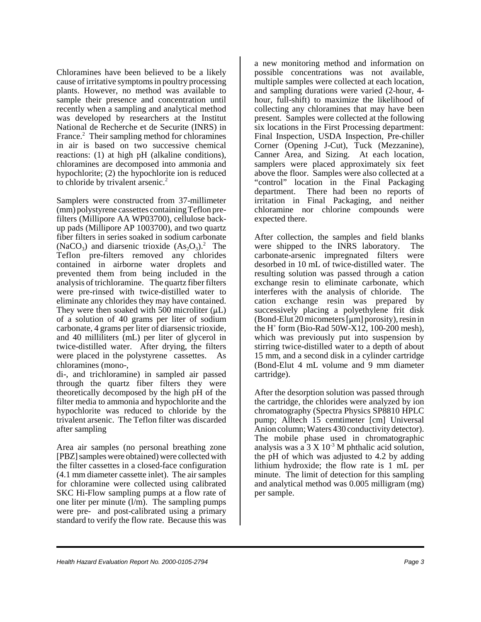Chloramines have been believed to be a likely cause of irritative symptoms in poultry processing plants. However, no method was available to sample their presence and concentration until recently when a sampling and analytical method was developed by researchers at the Institut National de Recherche et de Securite (INRS) in France.<sup>2</sup> Their sampling method for chloramines in air is based on two successive chemical reactions: (1) at high pH (alkaline conditions), chloramines are decomposed into ammonia and hypochlorite; (2) the hypochlorite ion is reduced to chloride by trivalent arsenic.<sup>2</sup>

Samplers were constructed from 37-millimeter (mm) polystyrene cassettes containing Teflon prefilters (Millipore AA WP03700), cellulose backup pads (Millipore AP 1003700), and two quartz fiber filters in series soaked in sodium carbonate (NaCO<sub>3</sub>) and diarsenic trioxide  $(As<sub>2</sub>O<sub>3</sub>)<sup>2</sup>$ . The Teflon pre-filters removed any chlorides contained in airborne water droplets and prevented them from being included in the analysis of trichloramine. The quartz fiber filters were pre-rinsed with twice-distilled water to eliminate any chlorides they may have contained. They were then soaked with 500 microliter  $(\mu L)$ of a solution of 40 grams per liter of sodium carbonate, 4 grams per liter of diarsensic trioxide, and 40 milliliters (mL) per liter of glycerol in twice-distilled water. After drying, the filters were placed in the polystyrene cassettes. As chloramines (mono-,

di-, and trichloramine) in sampled air passed through the quartz fiber filters they were theoretically decomposed by the high pH of the filter media to ammonia and hypochlorite and the hypochlorite was reduced to chloride by the trivalent arsenic. The Teflon filter was discarded after sampling

Area air samples (no personal breathing zone [PBZ] samples were obtained) were collected with the filter cassettes in a closed-face configuration (4.1 mm diameter cassette inlet). The air samples for chloramine were collected using calibrated SKC Hi-Flow sampling pumps at a flow rate of one liter per minute (l/m). The sampling pumps were pre- and post-calibrated using a primary standard to verify the flow rate. Because this was

a new monitoring method and information on possible concentrations was not available, multiple samples were collected at each location, and sampling durations were varied (2-hour, 4 hour, full-shift) to maximize the likelihood of collecting any chloramines that may have been present. Samples were collected at the following six locations in the First Processing department: Final Inspection, USDA Inspection, Pre-chiller Corner (Opening J-Cut), Tuck (Mezzanine), Canner Area, and Sizing. At each location, samplers were placed approximately six feet above the floor. Samples were also collected at a "control" location in the Final Packaging department. There had been no reports of irritation in Final Packaging, and neither chloramine nor chlorine compounds were expected there.

After collection, the samples and field blanks were shipped to the INRS laboratory. The carbonate-arsenic impregnated filters were desorbed in 10 mL of twice-distilled water. The resulting solution was passed through a cation exchange resin to eliminate carbonate, which interferes with the analysis of chloride. The cation exchange resin was prepared by successively placing a polyethylene frit disk (Bond-Elut 20 micometers  $[\mu m]$  porosity), resin in the H<sup>+</sup> form (Bio-Rad 50W-X12, 100-200 mesh), which was previously put into suspension by stirring twice-distilled water to a depth of about 15 mm, and a second disk in a cylinder cartridge (Bond-Elut 4 mL volume and 9 mm diameter cartridge).

After the desorption solution was passed through the cartridge, the chlorides were analyzed by ion chromatography (Spectra Physics SP8810 HPLC pump; Alltech 15 cemtimeter [cm] Universal Anion column; Waters 430 conductivity detector). The mobile phase used in chromatographic analysis was a  $3 \times 10^{-3}$  M phthalic acid solution, the pH of which was adjusted to 4.2 by adding lithium hydroxide; the flow rate is 1 mL per minute. The limit of detection for this sampling and analytical method was 0.005 milligram (mg) per sample.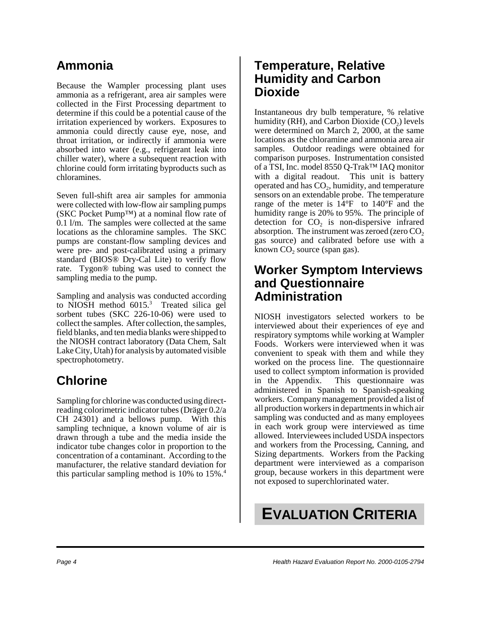### **Ammonia**

Because the Wampler processing plant uses ammonia as a refrigerant, area air samples were collected in the First Processing department to determine if this could be a potential cause of the irritation experienced by workers. Exposures to ammonia could directly cause eye, nose, and throat irritation, or indirectly if ammonia were absorbed into water (e.g., refrigerant leak into chiller water), where a subsequent reaction with chlorine could form irritating byproducts such as chloramines.

Seven full-shift area air samples for ammonia were collected with low-flow air sampling pumps (SKC Pocket Pump™) at a nominal flow rate of 0.1 l/m. The samples were collected at the same locations as the chloramine samples. The SKC pumps are constant-flow sampling devices and were pre- and post-calibrated using a primary standard (BIOS® Dry-Cal Lite) to verify flow rate. Tygon® tubing was used to connect the sampling media to the pump.

Sampling and analysis was conducted according to NIOSH method  $6015$ <sup>3</sup> Treated silica gel sorbent tubes (SKC 226-10-06) were used to collect the samples. After collection, the samples, field blanks, and ten media blanks were shipped to the NIOSH contract laboratory (Data Chem, Salt Lake City, Utah) for analysis by automated visible spectrophotometry.

### **Chlorine**

Sampling for chlorine was conducted using directreading colorimetric indicator tubes (Dräger 0.2/a CH 24301) and a bellows pump. With this sampling technique, a known volume of air is drawn through a tube and the media inside the indicator tube changes color in proportion to the concentration of a contaminant. According to the manufacturer, the relative standard deviation for this particular sampling method is  $10\%$  to  $15\%$ .<sup>4</sup>

#### **Temperature, Relative Humidity and Carbon Dioxide**

Instantaneous dry bulb temperature, % relative humidity (RH), and Carbon Dioxide  $(CO<sub>2</sub>)$  levels were determined on March 2, 2000, at the same locations as the chloramine and ammonia area air samples. Outdoor readings were obtained for comparison purposes. Instrumentation consisted of a TSI, Inc. model 8550 Q-Trak™ IAQ monitor with a digital readout. This unit is battery operated and has  $CO<sub>2</sub>$ , humidity, and temperature sensors on an extendable probe. The temperature range of the meter is  $14^{\circ}$ F to  $140^{\circ}$ F and the humidity range is 20% to 95%. The principle of detection for  $CO<sub>2</sub>$  is non-dispersive infrared absorption. The instrument was zeroed (zero  $CO<sub>2</sub>$ ) gas source) and calibrated before use with a known  $CO<sub>2</sub>$  source (span gas).

#### **Worker Symptom Interviews and Questionnaire Administration**

NIOSH investigators selected workers to be interviewed about their experiences of eye and respiratory symptoms while working at Wampler Foods. Workers were interviewed when it was convenient to speak with them and while they worked on the process line. The questionnaire used to collect symptom information is provided in the Appendix. This questionnaire was administered in Spanish to Spanish-speaking workers. Company management provided a list of all production workers in departments in which air sampling was conducted and as many employees in each work group were interviewed as time allowed. Interviewees included USDA inspectors and workers from the Processing, Canning, and Sizing departments. Workers from the Packing department were interviewed as a comparison group, because workers in this department were not exposed to superchlorinated water.

# **EVALUATION CRITERIA**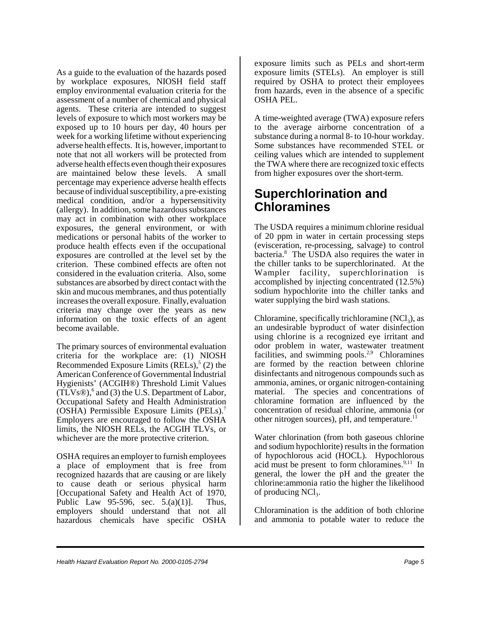As a guide to the evaluation of the hazards posed by workplace exposures, NIOSH field staff employ environmental evaluation criteria for the assessment of a number of chemical and physical agents. These criteria are intended to suggest levels of exposure to which most workers may be exposed up to 10 hours per day, 40 hours per week for a working lifetime without experiencing adverse health effects. It is, however, important to note that not all workers will be protected from adverse health effects even though their exposures are maintained below these levels. A small percentage may experience adverse health effects because of individual susceptibility, a pre-existing medical condition, and/or a hypersensitivity (allergy). In addition, some hazardous substances may act in combination with other workplace exposures, the general environment, or with medications or personal habits of the worker to produce health effects even if the occupational exposures are controlled at the level set by the criterion. These combined effects are often not considered in the evaluation criteria. Also, some substances are absorbed by direct contact with the skin and mucous membranes, and thus potentially increases the overall exposure. Finally, evaluation criteria may change over the years as new information on the toxic effects of an agent become available.

The primary sources of environmental evaluation criteria for the workplace are: (1) NIOSH Recommended Exposure Limits  $(RELs)$ ,<sup>5</sup> (2) the American Conference of Governmental Industrial Hygienists' (ACGIH®) Threshold Limit Values  $(TLVs@)$ , and (3) the U.S. Department of Labor, Occupational Safety and Health Administration (OSHA) Permissible Exposure Limits (PELs).7 Employers are encouraged to follow the OSHA limits, the NIOSH RELs, the ACGIH TLVs, or whichever are the more protective criterion.

OSHA requires an employer to furnish employees a place of employment that is free from recognized hazards that are causing or are likely to cause death or serious physical harm [Occupational Safety and Health Act of 1970, Public Law 95-596, sec.  $5.(a)(1)$ ]. Thus, employers should understand that not all hazardous chemicals have specific OSHA

exposure limits such as PELs and short-term exposure limits (STELs). An employer is still required by OSHA to protect their employees from hazards, even in the absence of a specific OSHA PEL.

A time-weighted average (TWA) exposure refers to the average airborne concentration of a substance during a normal 8- to 10-hour workday. Some substances have recommended STEL or ceiling values which are intended to supplement the TWA where there are recognized toxic effects from higher exposures over the short-term.

#### **Superchlorination and Chloramines**

The USDA requires a minimum chlorine residual of 20 ppm in water in certain processing steps (evisceration, re-processing, salvage) to control bacteria.<sup>8</sup> The USDA also requires the water in the chiller tanks to be superchlorinated. At the Wampler facility, superchlorination is accomplished by injecting concentrated (12.5%) sodium hypochlorite into the chiller tanks and water supplying the bird wash stations.

Chloramine, specifically trichloramine  $(NCl<sub>3</sub>)$ , as an undesirable byproduct of water disinfection using chlorine is a recognized eye irritant and odor problem in water, wastewater treatment facilities, and swimming pools.<sup>2,9</sup> Chloramines are formed by the reaction between chlorine disinfectants and nitrogenous compounds such as ammonia, amines, or organic nitrogen-containing material. The species and concentrations of chloramine formation are influenced by the concentration of residual chlorine, ammonia (or other nitrogen sources), pH, and temperature.<sup>1</sup>

Water chlorination (from both gaseous chlorine and sodium hypochlorite) results in the formation of hypochlorous acid (HOCL). Hypochlorous acid must be present to form chloramines. $9,11$  In general, the lower the pH and the greater the chlorine:ammonia ratio the higher the likelihood of producing  $NCl<sub>3</sub>$ .

Chloramination is the addition of both chlorine and ammonia to potable water to reduce the

*Health Hazard Evaluation Report No. 2000-0105-2794 Page 5*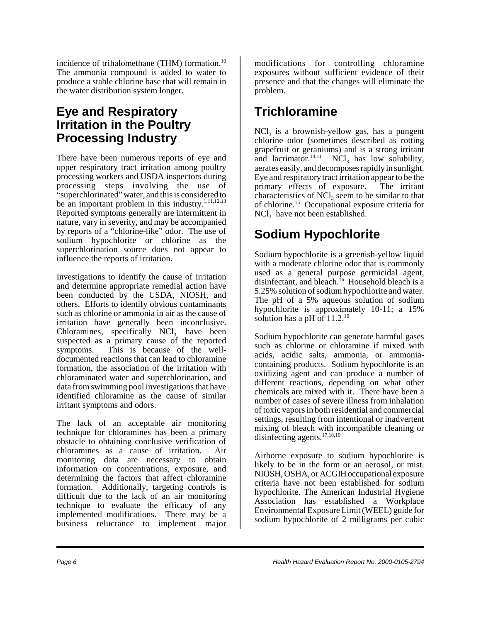incidence of trihalomethane (THM) formation.<sup>10</sup> The ammonia compound is added to water to produce a stable chlorine base that will remain in the water distribution system longer.

#### **Eye and Respiratory Irritation in the Poultry Processing Industry**

There have been numerous reports of eye and upper respiratory tract irritation among poultry processing workers and USDA inspectors during processing steps involving the use of "superchlorinated" water, and this is considered to be an important problem in this industry. $1,11,12,13$ Reported symptoms generally are intermittent in nature, vary in severity, and may be accompanied by reports of a "chlorine-like" odor. The use of sodium hypochlorite or chlorine as the superchlorination source does not appear to influence the reports of irritation.

Investigations to identify the cause of irritation and determine appropriate remedial action have been conducted by the USDA, NIOSH, and others. Efforts to identify obvious contaminants such as chlorine or ammonia in air as the cause of irritation have generally been inconclusive. Chloramines, specifically  $NCI_{3}$ , have been suspected as a primary cause of the reported symptoms. This is because of the welldocumented reactions that can lead to chloramine formation, the association of the irritation with chloraminated water and superchlorination, and data from swimming pool investigations that have identified chloramine as the cause of similar irritant symptoms and odors.

The lack of an acceptable air monitoring technique for chloramines has been a primary obstacle to obtaining conclusive verification of chloramines as a cause of irritation. Air monitoring data are necessary to obtain information on concentrations, exposure, and determining the factors that affect chloramine formation. Additionally, targeting controls is difficult due to the lack of an air monitoring technique to evaluate the efficacy of any implemented modifications. There may be a business reluctance to implement major

modifications for controlling chloramine exposures without sufficient evidence of their presence and that the changes will eliminate the problem.

### **Trichloramine**

 $NCl<sub>3</sub>$  is a brownish-yellow gas, has a pungent chlorine odor (sometimes described as rotting grapefruit or geraniums) and is a strong irritant and lacrimator.<sup>14,11</sup> NCl<sub>3</sub> has low solubility, aerates easily, and decomposes rapidly in sunlight. Eye and respiratory tract irritation appear to be the primary effects of exposure. The irritant characteristics of  $NCI<sub>3</sub>$  seem to be similar to that of chlorine.15 Occupational exposure criteria for  $NCl<sub>3</sub>$  have not been established.

## **Sodium Hypochlorite**

Sodium hypochlorite is a greenish-yellow liquid with a moderate chlorine odor that is commonly used as a general purpose germicidal agent, disinfectant, and bleach.<sup>16</sup> Household bleach is a 5.25% solution of sodium hypochlorite and water. The pH of a 5% aqueous solution of sodium hypochlorite is approximately 10-11; a 15% solution has a pH of  $11.2^{16}$ 

Sodium hypochlorite can generate harmful gases such as chlorine or chloramine if mixed with acids, acidic salts, ammonia, or ammoniacontaining products. Sodium hypochlorite is an oxidizing agent and can produce a number of different reactions, depending on what other chemicals are mixed with it. There have been a number of cases of severe illness from inhalation of toxic vapors in both residential and commercial settings, resulting from intentional or inadvertent mixing of bleach with incompatible cleaning or disinfecting agents.<sup>17,18,19</sup>

Airborne exposure to sodium hypochlorite is likely to be in the form or an aerosol, or mist. NIOSH, OSHA, or ACGIH occupational exposure criteria have not been established for sodium hypochlorite. The American Industrial Hygiene Association has established a Workplace Environmental Exposure Limit (WEEL) guide for sodium hypochlorite of 2 milligrams per cubic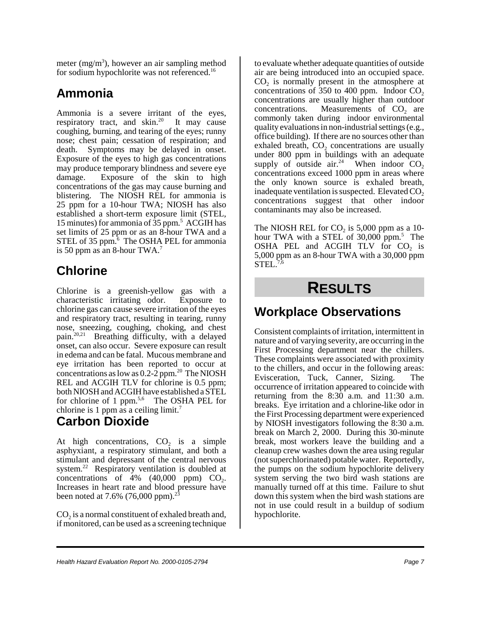meter  $(mg/m<sup>3</sup>)$ , however an air sampling method for sodium hypochlorite was not referenced.<sup>16</sup>

#### **Ammonia**

Ammonia is a severe irritant of the eyes, respiratory tract, and  $\sin^{20}$  It may cause coughing, burning, and tearing of the eyes; runny nose; chest pain; cessation of respiration; and death. Symptoms may be delayed in onset. Exposure of the eyes to high gas concentrations may produce temporary blindness and severe eye damage. Exposure of the skin to high concentrations of the gas may cause burning and blistering. The NIOSH REL for ammonia is 25 ppm for a 10-hour TWA; NIOSH has also established a short-term exposure limit (STEL, 15 minutes) for ammonia of  $35$  ppm.<sup>5</sup> ACGIH has set limits of 25 ppm or as an 8-hour TWA and a STEL of 35 ppm. $6$  The OSHA PEL for ammonia is 50 ppm as an 8-hour TWA.<sup>7</sup>

#### **Chlorine**

Chlorine is a greenish-yellow gas with a characteristic irritating odor. Exposure to chlorine gas can cause severe irritation of the eyes and respiratory tract, resulting in tearing, runny nose, sneezing, coughing, choking, and chest pain.20,21 Breathing difficulty, with a delayed onset, can also occur. Severe exposure can result in edema and can be fatal. Mucous membrane and eye irritation has been reported to occur at concentrations as low as 0.2-2 ppm.<sup>20</sup> The NIOSH REL and ACGIH TLV for chlorine is 0.5 ppm; both NIOSH and ACGIH have established a STEL for chlorine of 1 ppm. $5,6$  The OSHA PEL for chlorine is 1 ppm as a ceiling limit.<sup>7</sup>

## **Carbon Dioxide**

At high concentrations,  $CO<sub>2</sub>$  is a simple asphyxiant, a respiratory stimulant, and both a stimulant and depressant of the central nervous system.<sup>22</sup> Respiratory ventilation is doubled at concentrations of  $\overline{4\%}$  (40,000 ppm) CO<sub>2</sub>. Increases in heart rate and blood pressure have been noted at 7.6% (76,000 ppm).<sup>23</sup>

 $CO<sub>2</sub>$  is a normal constituent of exhaled breath and, if monitored, can be used as a screening technique to evaluate whether adequate quantities of outside air are being introduced into an occupied space.  $CO<sub>2</sub>$  is normally present in the atmosphere at concentrations of  $350$  to  $400$  ppm. Indoor CO<sub>2</sub> concentrations are usually higher than outdoor concentrations. Measurements of  $CO<sub>2</sub>$  are commonly taken during indoor environmental quality evaluations in non-industrial settings (e.g., office building). If there are no sources other than exhaled breath,  $CO<sub>2</sub>$  concentrations are usually under 800 ppm in buildings with an adequate supply of outside air.<sup>24</sup> When indoor  $CO<sub>2</sub>$ concentrations exceed 1000 ppm in areas where the only known source is exhaled breath, inadequate ventilation is suspected. Elevated  $CO<sub>2</sub>$ concentrations suggest that other indoor contaminants may also be increased.

The NIOSH REL for  $CO<sub>2</sub>$  is 5,000 ppm as a 10hour TWA with a STEL of 30,000 ppm.<sup>5</sup> The OSHA PEL and ACGIH TLV for CO<sub>2</sub> is 5,000 ppm as an 8-hour TWA with a 30,000 ppm  $STEL.<sup>7,6</sup>$ 

# **RESULTS**

#### **Workplace Observations**

Consistent complaints of irritation, intermittent in nature and of varying severity, are occurring in the First Processing department near the chillers. These complaints were associated with proximity to the chillers, and occur in the following areas: Evisceration, Tuck, Canner, Sizing. The occurrence of irritation appeared to coincide with returning from the 8:30 a.m. and 11:30 a.m. breaks. Eye irritation and a chlorine-like odor in the First Processing department were experienced by NIOSH investigators following the 8:30 a.m. break on March 2, 2000. During this 30-minute break, most workers leave the building and a cleanup crew washes down the area using regular (not superchlorinated) potable water. Reportedly, the pumps on the sodium hypochlorite delivery system serving the two bird wash stations are manually turned off at this time. Failure to shut down this system when the bird wash stations are not in use could result in a buildup of sodium hypochlorite.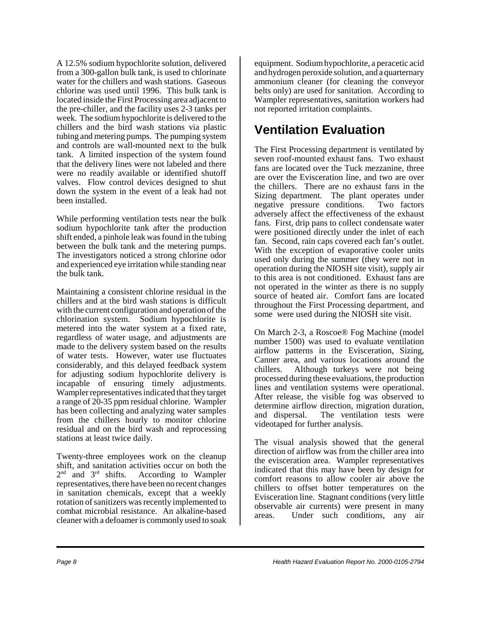A 12.5% sodium hypochlorite solution, delivered from a 300-gallon bulk tank, is used to chlorinate water for the chillers and wash stations. Gaseous chlorine was used until 1996. This bulk tank is located inside the First Processing area adjacent to the pre-chiller, and the facility uses 2-3 tanks per week. The sodium hypochlorite is delivered to the chillers and the bird wash stations via plastic tubing and metering pumps. The pumping system and controls are wall-mounted next to the bulk tank. A limited inspection of the system found that the delivery lines were not labeled and there were no readily available or identified shutoff valves. Flow control devices designed to shut down the system in the event of a leak had not been installed.

While performing ventilation tests near the bulk sodium hypochlorite tank after the production shift ended, a pinhole leak was found in the tubing between the bulk tank and the metering pumps. The investigators noticed a strong chlorine odor and experienced eye irritation while standing near the bulk tank.

Maintaining a consistent chlorine residual in the chillers and at the bird wash stations is difficult with the current configuration and operation of the chlorination system. Sodium hypochlorite is metered into the water system at a fixed rate, regardless of water usage, and adjustments are made to the delivery system based on the results of water tests. However, water use fluctuates considerably, and this delayed feedback system for adjusting sodium hypochlorite delivery is incapable of ensuring timely adjustments. Wampler representatives indicated that they target a range of 20-35 ppm residual chlorine. Wampler has been collecting and analyzing water samples from the chillers hourly to monitor chlorine residual and on the bird wash and reprocessing stations at least twice daily.

Twenty-three employees work on the cleanup shift, and sanitation activities occur on both the  $2<sup>nd</sup>$  and  $3<sup>rd</sup>$  shifts. According to Wampler According to Wampler representatives, there have been no recent changes in sanitation chemicals, except that a weekly rotation of sanitizers was recently implemented to combat microbial resistance. An alkaline-based cleaner with a defoamer is commonly used to soak

equipment. Sodium hypochlorite, a peracetic acid and hydrogen peroxide solution, and a quarternary ammonium cleaner (for cleaning the conveyor belts only) are used for sanitation. According to Wampler representatives, sanitation workers had not reported irritation complaints.

### **Ventilation Evaluation**

The First Processing department is ventilated by seven roof-mounted exhaust fans. Two exhaust fans are located over the Tuck mezzanine, three are over the Evisceration line, and two are over the chillers. There are no exhaust fans in the Sizing department. The plant operates under negative pressure conditions. Two factors adversely affect the effectiveness of the exhaust fans. First, drip pans to collect condensate water were positioned directly under the inlet of each fan. Second, rain caps covered each fan's outlet. With the exception of evaporative cooler units used only during the summer (they were not in operation during the NIOSH site visit), supply air to this area is not conditioned. Exhaust fans are not operated in the winter as there is no supply source of heated air. Comfort fans are located throughout the First Processing department, and some were used during the NIOSH site visit.

On March 2-3, a Roscoe® Fog Machine (model number 1500) was used to evaluate ventilation airflow patterns in the Evisceration, Sizing, Canner area, and various locations around the chillers. Although turkeys were not being processed during these evaluations, the production lines and ventilation systems were operational. After release, the visible fog was observed to determine airflow direction, migration duration, and dispersal. The ventilation tests were videotaped for further analysis.

The visual analysis showed that the general direction of airflow was from the chiller area into the evisceration area. Wampler representatives indicated that this may have been by design for comfort reasons to allow cooler air above the chillers to offset hotter temperatures on the Evisceration line. Stagnant conditions (very little observable air currents) were present in many areas. Under such conditions, any air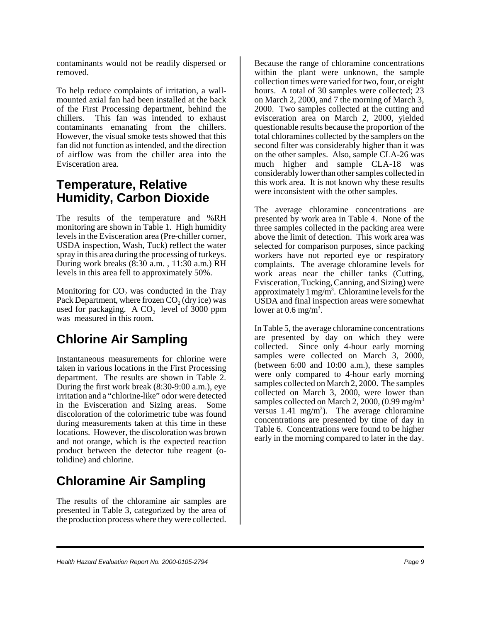contaminants would not be readily dispersed or removed.

To help reduce complaints of irritation, a wallmounted axial fan had been installed at the back of the First Processing department, behind the chillers. This fan was intended to exhaust contaminants emanating from the chillers. However, the visual smoke tests showed that this fan did not function as intended, and the direction of airflow was from the chiller area into the Evisceration area.

#### **Temperature, Relative Humidity, Carbon Dioxide**

The results of the temperature and %RH monitoring are shown in Table 1. High humidity levels in the Evisceration area (Pre-chiller corner, USDA inspection, Wash, Tuck) reflect the water spray in this area during the processing of turkeys. During work breaks (8:30 a.m. , 11:30 a.m.) RH levels in this area fell to approximately 50%.

Monitoring for  $CO<sub>2</sub>$  was conducted in the Tray Pack Department, where frozen  $CO<sub>2</sub>$  (dry ice) was used for packaging. A  $CO<sub>2</sub>$  level of 3000 ppm was measured in this room.

## **Chlorine Air Sampling**

Instantaneous measurements for chlorine were taken in various locations in the First Processing department. The results are shown in Table 2. During the first work break (8:30-9:00 a.m.), eye irritation and a "chlorine-like" odor were detected in the Evisceration and Sizing areas. Some discoloration of the colorimetric tube was found during measurements taken at this time in these locations. However, the discoloration was brown and not orange, which is the expected reaction product between the detector tube reagent (otolidine) and chlorine.

#### **Chloramine Air Sampling**

The results of the chloramine air samples are presented in Table 3, categorized by the area of the production process where they were collected.

Because the range of chloramine concentrations within the plant were unknown, the sample collection times were varied for two, four, or eight hours. A total of 30 samples were collected; 23 on March 2, 2000, and 7 the morning of March 3, 2000. Two samples collected at the cutting and evisceration area on March 2, 2000, yielded questionable results because the proportion of the total chloramines collected by the samplers on the second filter was considerably higher than it was on the other samples. Also, sample CLA-26 was much higher and sample CLA-18 was considerably lower than other samples collected in this work area. It is not known why these results were inconsistent with the other samples.

The average chloramine concentrations are presented by work area in Table 4. None of the three samples collected in the packing area were above the limit of detection. This work area was selected for comparison purposes, since packing workers have not reported eye or respiratory complaints. The average chloramine levels for work areas near the chiller tanks (Cutting, Evisceration, Tucking, Canning, and Sizing) were approximately 1 mg/m<sup>3</sup>. Chloramine levels for the USDA and final inspection areas were somewhat lower at  $0.6 \text{ mg/m}^3$ .

In Table 5, the average chloramine concentrations are presented by day on which they were collected. Since only 4-hour early morning samples were collected on March 3, 2000, (between 6:00 and 10:00 a.m.), these samples were only compared to 4-hour early morning samples collected on March 2, 2000. The samples collected on March 3, 2000, were lower than samples collected on March 2, 2000,  $(0.99 \text{ mg/m}^3)$ versus  $1.41 \text{ mg/m}^3$ ). The average chloramine concentrations are presented by time of day in Table 6. Concentrations were found to be higher early in the morning compared to later in the day.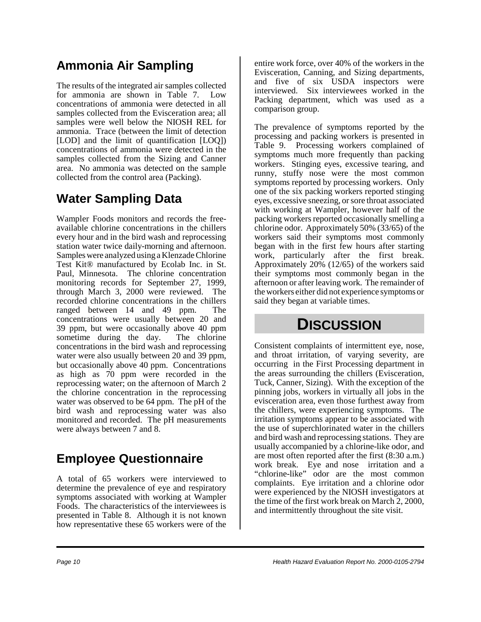### **Ammonia Air Sampling**

The results of the integrated air samples collected for ammonia are shown in Table 7. Low concentrations of ammonia were detected in all samples collected from the Evisceration area; all samples were well below the NIOSH REL for ammonia. Trace (between the limit of detection [LOD] and the limit of quantification [LOQ]) concentrations of ammonia were detected in the samples collected from the Sizing and Canner area. No ammonia was detected on the sample collected from the control area (Packing).

#### **Water Sampling Data**

Wampler Foods monitors and records the freeavailable chlorine concentrations in the chillers every hour and in the bird wash and reprocessing station water twice daily-morning and afternoon. Samples were analyzed using a Klenzade Chlorine Test Kit® manufactured by Ecolab Inc. in St. Paul, Minnesota. The chlorine concentration monitoring records for September 27, 1999, through March 3, 2000 were reviewed. The recorded chlorine concentrations in the chillers ranged between 14 and 49 ppm. The concentrations were usually between 20 and 39 ppm, but were occasionally above 40 ppm sometime during the day. The chlorine concentrations in the bird wash and reprocessing water were also usually between 20 and 39 ppm, but occasionally above 40 ppm. Concentrations as high as 70 ppm were recorded in the reprocessing water; on the afternoon of March 2 the chlorine concentration in the reprocessing water was observed to be 64 ppm. The pH of the bird wash and reprocessing water was also monitored and recorded. The pH measurements were always between 7 and 8.

#### **Employee Questionnaire**

A total of 65 workers were interviewed to determine the prevalence of eye and respiratory symptoms associated with working at Wampler Foods. The characteristics of the interviewees is presented in Table 8. Although it is not known how representative these 65 workers were of the

entire work force, over 40% of the workers in the Evisceration, Canning, and Sizing departments, and five of six USDA inspectors were interviewed. Six interviewees worked in the Packing department, which was used as a comparison group.

The prevalence of symptoms reported by the processing and packing workers is presented in Table 9. Processing workers complained of symptoms much more frequently than packing workers. Stinging eyes, excessive tearing, and runny, stuffy nose were the most common symptoms reported by processing workers. Only one of the six packing workers reported stinging eyes, excessive sneezing, or sore throat associated with working at Wampler, however half of the packing workers reported occasionally smelling a chlorine odor. Approximately 50% (33/65) of the workers said their symptoms most commonly began with in the first few hours after starting work, particularly after the first break. Approximately 20% (12/65) of the workers said their symptoms most commonly began in the afternoon or after leaving work. The remainder of the workers either did not experience symptoms or said they began at variable times.

## **DISCUSSION**

Consistent complaints of intermittent eye, nose, and throat irritation, of varying severity, are occurring in the First Processing department in the areas surrounding the chillers (Evisceration, Tuck, Canner, Sizing). With the exception of the pinning jobs, workers in virtually all jobs in the evisceration area, even those furthest away from the chillers, were experiencing symptoms. The irritation symptoms appear to be associated with the use of superchlorinated water in the chillers and bird wash and reprocessing stations. They are usually accompanied by a chlorine-like odor, and are most often reported after the first (8:30 a.m.) work break. Eye and nose irritation and a "chlorine-like" odor are the most common complaints. Eye irritation and a chlorine odor were experienced by the NIOSH investigators at the time of the first work break on March 2, 2000, and intermittently throughout the site visit.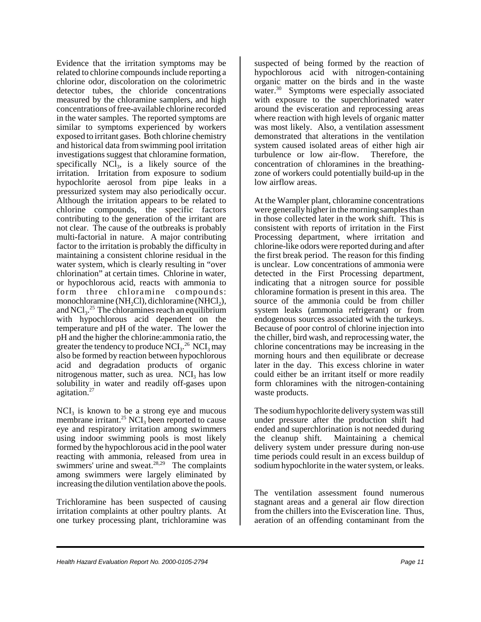Evidence that the irritation symptoms may be related to chlorine compounds include reporting a chlorine odor, discoloration on the colorimetric detector tubes, the chloride concentrations measured by the chloramine samplers, and high concentrations of free-available chlorine recorded in the water samples. The reported symptoms are similar to symptoms experienced by workers exposed to irritant gases. Both chlorine chemistry and historical data from swimming pool irritation investigations suggest that chloramine formation, specifically  $NCl_3$ , is a likely source of the irritation. Irritation from exposure to sodium hypochlorite aerosol from pipe leaks in a pressurized system may also periodically occur. Although the irritation appears to be related to chlorine compounds, the specific factors contributing to the generation of the irritant are not clear. The cause of the outbreaks is probably multi-factorial in nature. A major contributing factor to the irritation is probably the difficulty in maintaining a consistent chlorine residual in the water system, which is clearly resulting in "over chlorination" at certain times. Chlorine in water, or hypochlorous acid, reacts with ammonia to form three chloramine compounds: monochloramine (NH<sub>2</sub>Cl), dichloramine (NHCl<sub>2</sub>), and  $NCl<sub>3</sub>$ .<sup>25</sup> The chloramines reach an equilibrium with hypochlorous acid dependent on the temperature and pH of the water. The lower the pH and the higher the chlorine:ammonia ratio, the greater the tendency to produce  $\rm{NCI_3.}^{26}$   $\rm{NCI_3}$  may also be formed by reaction between hypochlorous acid and degradation products of organic nitrogenous matter, such as urea. NCI<sub>3</sub> has low solubility in water and readily off-gases upon agitation.27

 $NCI<sub>3</sub>$  is known to be a strong eye and mucous membrane irritant.<sup>25</sup> NCI<sub>3</sub> been reported to cause eye and respiratory irritation among swimmers using indoor swimming pools is most likely formed by the hypochlorous acid in the pool water reacting with ammonia, released from urea in swimmers' urine and sweat. $28,29$  The complaints among swimmers were largely eliminated by increasing the dilution ventilation above the pools.

Trichloramine has been suspected of causing irritation complaints at other poultry plants. At one turkey processing plant, trichloramine was

suspected of being formed by the reaction of hypochlorous acid with nitrogen-containing organic matter on the birds and in the waste water.<sup>30</sup> Symptoms were especially associated with exposure to the superchlorinated water around the evisceration and reprocessing areas where reaction with high levels of organic matter was most likely. Also, a ventilation assessment demonstrated that alterations in the ventilation system caused isolated areas of either high air turbulence or low air-flow. Therefore, the concentration of chloramines in the breathingzone of workers could potentially build-up in the low airflow areas.

At the Wampler plant, chloramine concentrations were generally higher in the morning samples than in those collected later in the work shift. This is consistent with reports of irritation in the First Processing department, where irritation and chlorine-like odors were reported during and after the first break period. The reason for this finding is unclear. Low concentrations of ammonia were detected in the First Processing department, indicating that a nitrogen source for possible chloramine formation is present in this area. The source of the ammonia could be from chiller system leaks (ammonia refrigerant) or from endogenous sources associated with the turkeys. Because of poor control of chlorine injection into the chiller, bird wash, and reprocessing water, the chlorine concentrations may be increasing in the morning hours and then equilibrate or decrease later in the day. This excess chlorine in water could either be an irritant itself or more readily form chloramines with the nitrogen-containing waste products.

The sodium hypochlorite delivery system was still under pressure after the production shift had ended and superchlorination is not needed during the cleanup shift. Maintaining a chemical delivery system under pressure during non-use time periods could result in an excess buildup of sodium hypochlorite in the water system, or leaks.

The ventilation assessment found numerous stagnant areas and a general air flow direction from the chillers into the Evisceration line. Thus, aeration of an offending contaminant from the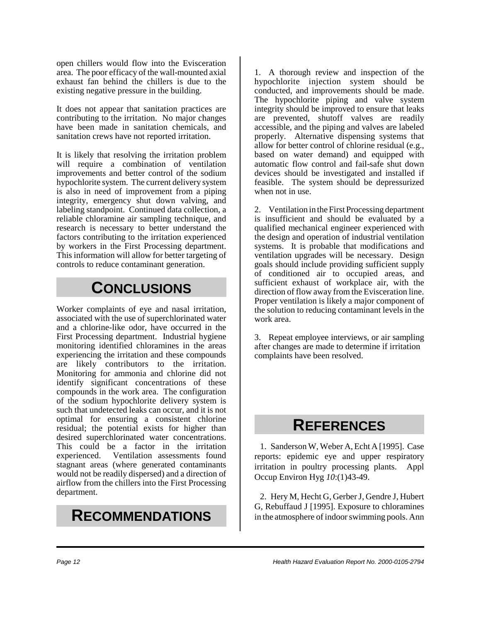open chillers would flow into the Evisceration area. The poor efficacy of the wall-mounted axial exhaust fan behind the chillers is due to the existing negative pressure in the building.

It does not appear that sanitation practices are contributing to the irritation. No major changes have been made in sanitation chemicals, and sanitation crews have not reported irritation.

It is likely that resolving the irritation problem will require a combination of ventilation improvements and better control of the sodium hypochlorite system. The current delivery system is also in need of improvement from a piping integrity, emergency shut down valving, and labeling standpoint. Continued data collection, a reliable chloramine air sampling technique, and research is necessary to better understand the factors contributing to the irritation experienced by workers in the First Processing department. This information will allow for better targeting of controls to reduce contaminant generation.

### **CONCLUSIONS**

Worker complaints of eye and nasal irritation, associated with the use of superchlorinated water and a chlorine-like odor, have occurred in the First Processing department. Industrial hygiene monitoring identified chloramines in the areas experiencing the irritation and these compounds are likely contributors to the irritation. Monitoring for ammonia and chlorine did not identify significant concentrations of these compounds in the work area. The configuration of the sodium hypochlorite delivery system is such that undetected leaks can occur, and it is not optimal for ensuring a consistent chlorine residual; the potential exists for higher than desired superchlorinated water concentrations. This could be a factor in the irritation experienced. Ventilation assessments found stagnant areas (where generated contaminants would not be readily dispersed) and a direction of airflow from the chillers into the First Processing department.

### **RECOMMENDATIONS**

1. A thorough review and inspection of the hypochlorite injection system should be conducted, and improvements should be made. The hypochlorite piping and valve system integrity should be improved to ensure that leaks are prevented, shutoff valves are readily accessible, and the piping and valves are labeled properly. Alternative dispensing systems that allow for better control of chlorine residual (e.g., based on water demand) and equipped with automatic flow control and fail-safe shut down devices should be investigated and installed if feasible. The system should be depressurized when not in use.

2. Ventilation in the First Processing department is insufficient and should be evaluated by a qualified mechanical engineer experienced with the design and operation of industrial ventilation systems. It is probable that modifications and ventilation upgrades will be necessary. Design goals should include providing sufficient supply of conditioned air to occupied areas, and sufficient exhaust of workplace air, with the direction of flow away from the Evisceration line. Proper ventilation is likely a major component of the solution to reducing contaminant levels in the work area.

3. Repeat employee interviews, or air sampling after changes are made to determine if irritation complaints have been resolved.

## **REFERENCES**

1. Sanderson W, Weber A, Echt A [1995]. Case reports: epidemic eye and upper respiratory irritation in poultry processing plants. Appl Occup Environ Hyg *10*:(1)43-49.

2. Hery M, Hecht G, Gerber J, Gendre J, Hubert G, Rebuffaud J [1995]. Exposure to chloramines in the atmosphere of indoor swimming pools. Ann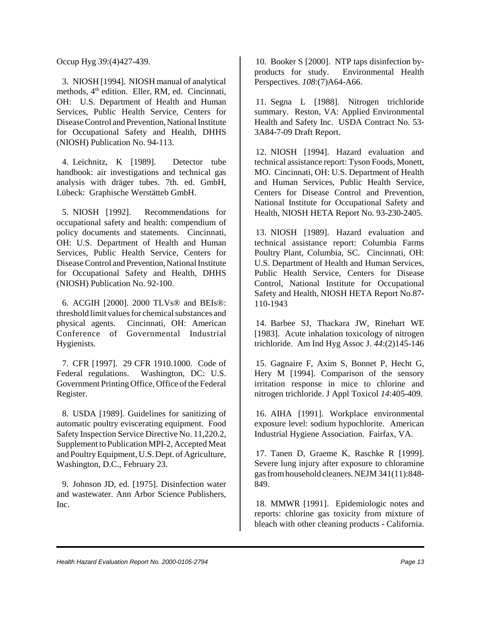Occup Hyg *39*:(4)427-439.

3. NIOSH [1994]. NIOSH manual of analytical methods, 4<sup>th</sup> edition. Eller, RM, ed. Cincinnati, OH: U.S. Department of Health and Human Services, Public Health Service, Centers for Disease Control and Prevention, National Institute for Occupational Safety and Health, DHHS (NIOSH) Publication No. 94-113.

4. Leichnitz, K [1989]. Detector tube handbook: air investigations and technical gas analysis with dräger tubes. 7th. ed. GmbH, Lübeck: Graphische Werstätteb GmbH.

5. NIOSH [1992]. Recommendations for occupational safety and health: compendium of policy documents and statements. Cincinnati, OH: U.S. Department of Health and Human Services, Public Health Service, Centers for Disease Control and Prevention, National Institute for Occupational Safety and Health, DHHS (NIOSH) Publication No. 92-100.

6. ACGIH [2000]. 2000 TLVs® and BEIs®: threshold limit values for chemical substances and physical agents. Cincinnati, OH: American Conference of Governmental Industrial Hygienists.

7. CFR [1997]. 29 CFR 1910.1000. Code of Federal regulations. Washington, DC: U.S. Government Printing Office, Office of the Federal Register.

8. USDA [1989]. Guidelines for sanitizing of automatic poultry eviscerating equipment. Food Safety Inspection Service Directive No. 11,220.2, Supplement to Publication MPI-2, Accepted Meat and Poultry Equipment, U.S. Dept. of Agriculture, Washington, D.C., February 23.

9. Johnson JD, ed. [1975]. Disinfection water and wastewater. Ann Arbor Science Publishers, Inc.

10. Booker S [2000]. NTP taps disinfection byproducts for study. Environmental Health Perspectives. *108*:(7)A64-A66.

11. Segna L [1988]. Nitrogen trichloride summary. Reston, VA: Applied Environmental Health and Safety Inc. USDA Contract No. 53- 3A84-7-09 Draft Report.

12. NIOSH [1994]. Hazard evaluation and technical assistance report: Tyson Foods, Monett, MO. Cincinnati, OH: U.S. Department of Health and Human Services, Public Health Service, Centers for Disease Control and Prevention, National Institute for Occupational Safety and Health, NIOSH HETA Report No. 93-230-2405.

13. NIOSH [1989]. Hazard evaluation and technical assistance report: Columbia Farms Poultry Plant, Columbia, SC. Cincinnati, OH: U.S. Department of Health and Human Services, Public Health Service, Centers for Disease Control, National Institute for Occupational Safety and Health, NIOSH HETA Report No.87- 110-1943

14. Barbee SJ, Thackara JW, Rinehart WE [1983]. Acute inhalation toxicology of nitrogen trichloride. Am Ind Hyg Assoc J. *44*:(2)145-146

15. Gagnaire F, Axim S, Bonnet P, Hecht G, Hery M [1994]. Comparison of the sensory irritation response in mice to chlorine and nitrogen trichloride. J Appl Toxicol *14*:405-409.

16. AIHA [1991]. Workplace environmental exposure level: sodium hypochlorite. American Industrial Hygiene Association. Fairfax, VA.

17. Tanen D, Graeme K, Raschke R [1999]. Severe lung injury after exposure to chloramine gas from household cleaners. NEJM 341(11):848- 849.

18. MMWR [1991]. Epidemiologic notes and reports: chlorine gas toxicity from mixture of bleach with other cleaning products - California.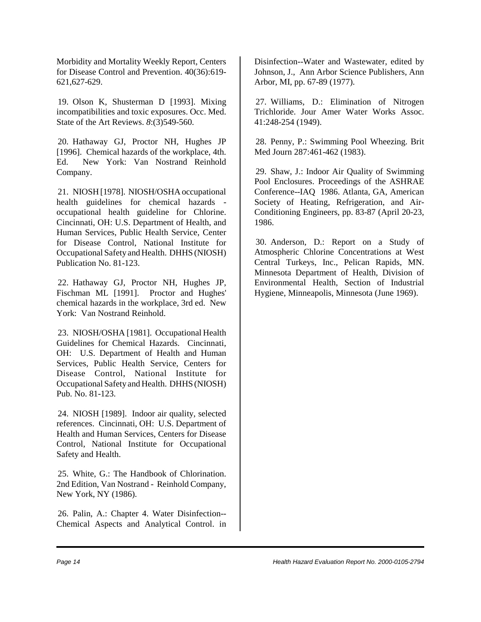Morbidity and Mortality Weekly Report, Centers for Disease Control and Prevention. 40(36):619- 621,627-629.

19. Olson K, Shusterman D [1993]. Mixing incompatibilities and toxic exposures. Occ. Med. State of the Art Reviews. *8*:(3)549-560.

20. Hathaway GJ, Proctor NH, Hughes JP [1996]. Chemical hazards of the workplace, 4th. Ed. New York: Van Nostrand Reinhold Company.

21. NIOSH [1978]. NIOSH/OSHA occupational health guidelines for chemical hazards occupational health guideline for Chlorine. Cincinnati, OH: U.S. Department of Health, and Human Services, Public Health Service, Center for Disease Control, National Institute for Occupational Safety and Health. DHHS (NIOSH) Publication No. 81-123.

22. Hathaway GJ, Proctor NH, Hughes JP, Fischman ML [1991]. Proctor and Hughes' chemical hazards in the workplace, 3rd ed. New York: Van Nostrand Reinhold.

23. NIOSH/OSHA [1981]. Occupational Health Guidelines for Chemical Hazards. Cincinnati, OH: U.S. Department of Health and Human Services, Public Health Service, Centers for Disease Control, National Institute for Occupational Safety and Health. DHHS (NIOSH) Pub. No. 81-123.

24. NIOSH [1989]. Indoor air quality, selected references. Cincinnati, OH: U.S. Department of Health and Human Services, Centers for Disease Control, National Institute for Occupational Safety and Health.

25. White, G.: The Handbook of Chlorination. 2nd Edition, Van Nostrand - Reinhold Company, New York, NY (1986).

26. Palin, A.: Chapter 4. Water Disinfection-- Chemical Aspects and Analytical Control. in Disinfection--Water and Wastewater, edited by Johnson, J., Ann Arbor Science Publishers, Ann Arbor, MI, pp. 67-89 (1977).

27. Williams, D.: Elimination of Nitrogen Trichloride. Jour Amer Water Works Assoc. 41:248-254 (1949).

28. Penny, P.: Swimming Pool Wheezing. Brit Med Journ 287:461-462 (1983).

29. Shaw, J.: Indoor Air Quality of Swimming Pool Enclosures. Proceedings of the ASHRAE Conference--IAQ 1986. Atlanta, GA, American Society of Heating, Refrigeration, and Air-Conditioning Engineers, pp. 83-87 (April 20-23, 1986.

30. Anderson, D.: Report on a Study of Atmospheric Chlorine Concentrations at West Central Turkeys, Inc., Pelican Rapids, MN. Minnesota Department of Health, Division of Environmental Health, Section of Industrial Hygiene, Minneapolis, Minnesota (June 1969).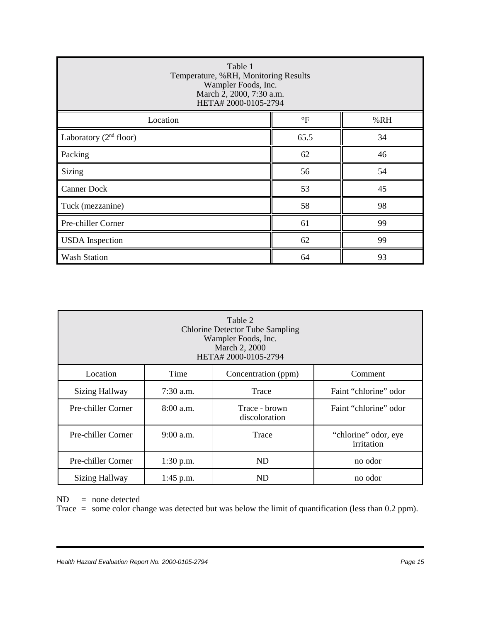| Table 1<br>Temperature, %RH, Monitoring Results<br>Wampler Foods, Inc.<br>March 2, 2000, 7:30 a.m.<br>HETA# 2000-0105-2794 |              |     |
|----------------------------------------------------------------------------------------------------------------------------|--------------|-----|
| Location                                                                                                                   | $\mathrm{P}$ | %RH |
| Laboratory $(2nd$ floor)                                                                                                   | 65.5         | 34  |
| Packing                                                                                                                    | 62           | 46  |
| <b>Sizing</b>                                                                                                              | 56           | 54  |
| <b>Canner Dock</b>                                                                                                         | 53           | 45  |
| Tuck (mezzanine)                                                                                                           | 58           | 98  |
| Pre-chiller Corner                                                                                                         | 61           | 99  |
| <b>USDA</b> Inspection                                                                                                     | 62           | 99  |
| <b>Wash Station</b>                                                                                                        | 64           | 93  |

| Table 2<br><b>Chlorine Detector Tube Sampling</b><br>Wampler Foods, Inc.<br>March 2, 2000<br>HETA# 2000-0105-2794 |             |                                |                                    |
|-------------------------------------------------------------------------------------------------------------------|-------------|--------------------------------|------------------------------------|
| Location                                                                                                          | Time        | Concentration (ppm)            | Comment                            |
| <b>Sizing Hallway</b>                                                                                             | $7:30$ a.m. | Trace                          | Faint "chlorine" odor              |
| Pre-chiller Corner                                                                                                | $8:00$ a.m. | Trace - brown<br>discoloration | Faint "chlorine" odor              |
| Pre-chiller Corner                                                                                                | $9:00$ a.m. | Trace                          | "chlorine" odor, eye<br>irritation |
| Pre-chiller Corner                                                                                                | $1:30$ p.m. | ND                             | no odor                            |
| <b>Sizing Hallway</b>                                                                                             | $1:45$ p.m. | ND                             | no odor                            |

ND = none detected

Trace = some color change was detected but was below the limit of quantification (less than 0.2 ppm).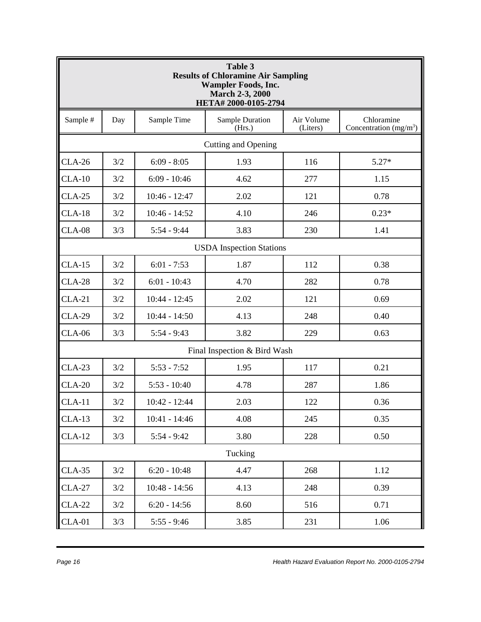| <b>Table 3</b><br><b>Results of Chloramine Air Sampling</b><br><b>Wampler Foods, Inc.</b><br><b>March 2-3, 2000</b><br>HETA# 2000-0105-2794 |                                                                                                                    |                 |                              |     |         |  |
|---------------------------------------------------------------------------------------------------------------------------------------------|--------------------------------------------------------------------------------------------------------------------|-----------------|------------------------------|-----|---------|--|
| Sample #                                                                                                                                    | Sample Time<br>Sample Duration<br>Air Volume<br>Chloramine<br>Day<br>Concentration $(mg/m3)$<br>(Hrs.)<br>(Liters) |                 |                              |     |         |  |
|                                                                                                                                             |                                                                                                                    |                 | <b>Cutting and Opening</b>   |     |         |  |
| $CLA-26$                                                                                                                                    | 3/2                                                                                                                | $6:09 - 8:05$   | 1.93                         | 116 | $5.27*$ |  |
| $CLA-10$                                                                                                                                    | 3/2                                                                                                                | $6:09 - 10:46$  | 4.62                         | 277 | 1.15    |  |
| $CLA-25$                                                                                                                                    | 3/2                                                                                                                | $10:46 - 12:47$ | 2.02                         | 121 | 0.78    |  |
| $CLA-18$                                                                                                                                    | 3/2                                                                                                                | $10:46 - 14:52$ | 4.10                         | 246 | $0.23*$ |  |
| <b>CLA-08</b>                                                                                                                               | 3/3                                                                                                                | $5:54 - 9:44$   | 3.83                         | 230 | 1.41    |  |
|                                                                                                                                             | <b>USDA</b> Inspection Stations                                                                                    |                 |                              |     |         |  |
| $CLA-15$                                                                                                                                    | 3/2                                                                                                                | $6:01 - 7:53$   | 1.87                         | 112 | 0.38    |  |
| <b>CLA-28</b>                                                                                                                               | 3/2                                                                                                                | $6:01 - 10:43$  | 4.70                         | 282 | 0.78    |  |
| $CLA-21$                                                                                                                                    | 3/2                                                                                                                | $10:44 - 12:45$ | 2.02                         | 121 | 0.69    |  |
| <b>CLA-29</b>                                                                                                                               | 3/2                                                                                                                | $10:44 - 14:50$ | 4.13                         | 248 | 0.40    |  |
| <b>CLA-06</b>                                                                                                                               | 3/3                                                                                                                | $5:54 - 9:43$   | 3.82                         | 229 | 0.63    |  |
|                                                                                                                                             |                                                                                                                    |                 | Final Inspection & Bird Wash |     |         |  |
| $CLA-23$                                                                                                                                    | 3/2                                                                                                                | $5:53 - 7:52$   | 1.95                         | 117 | 0.21    |  |
| $CLA-20$                                                                                                                                    | 3/2                                                                                                                | $5:53 - 10:40$  | 4.78                         | 287 | 1.86    |  |
| $CLA-11$                                                                                                                                    | 3/2                                                                                                                | $10:42 - 12:44$ | 2.03                         | 122 | 0.36    |  |
| $CLA-13$                                                                                                                                    | 3/2                                                                                                                | $10:41 - 14:46$ | 4.08                         | 245 | 0.35    |  |
| $CLA-12$                                                                                                                                    | 3/3                                                                                                                | $5:54 - 9:42$   | 3.80                         | 228 | 0.50    |  |
|                                                                                                                                             |                                                                                                                    |                 | Tucking                      |     |         |  |
| $CLA-35$                                                                                                                                    | 3/2                                                                                                                | $6:20 - 10:48$  | 4.47                         | 268 | 1.12    |  |
| <b>CLA-27</b>                                                                                                                               | 3/2                                                                                                                | $10:48 - 14:56$ | 4.13                         | 248 | 0.39    |  |
| <b>CLA-22</b>                                                                                                                               | 3/2                                                                                                                | $6:20 - 14:56$  | 8.60                         | 516 | 0.71    |  |
| $CLA-01$                                                                                                                                    | 3/3                                                                                                                | $5:55 - 9:46$   | 3.85                         | 231 | 1.06    |  |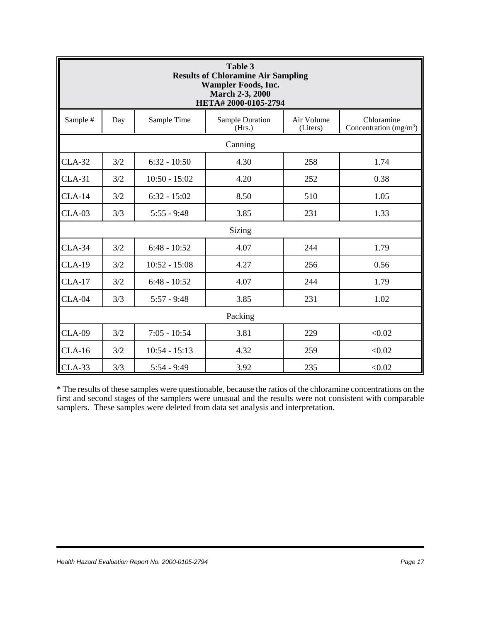| Table 3<br><b>Results of Chloramine Air Sampling</b><br><b>Wampler Foods, Inc.</b><br><b>March 2-3, 2000</b><br>HETA# 2000-0105-2794 |         |                 |                           |                        |                                       |
|--------------------------------------------------------------------------------------------------------------------------------------|---------|-----------------|---------------------------|------------------------|---------------------------------------|
| Sample #                                                                                                                             | Day     | Sample Time     | Sample Duration<br>(Hrs.) | Air Volume<br>(Liters) | Chloramine<br>Concentration $(mg/m3)$ |
|                                                                                                                                      |         |                 | Canning                   |                        |                                       |
| $CLA-32$                                                                                                                             | 3/2     | $6:32 - 10:50$  | 4.30                      | 258                    | 1.74                                  |
| $CLA-31$                                                                                                                             | 3/2     | $10:50 - 15:02$ | 4.20                      | 252                    | 0.38                                  |
| $CLA-14$                                                                                                                             | 3/2     | $6:32 - 15:02$  | 8.50                      | 510                    | 1.05                                  |
| $CLA-03$                                                                                                                             | 3/3     | $5:55 - 9:48$   | 3.85                      | 231                    | 1.33                                  |
| Sizing                                                                                                                               |         |                 |                           |                        |                                       |
| $CLA-34$                                                                                                                             | 3/2     | $6:48 - 10:52$  | 4.07                      | 244                    | 1.79                                  |
| $CLA-19$                                                                                                                             | 3/2     | $10:52 - 15:08$ | 4.27                      | 256                    | 0.56                                  |
| $CLA-17$                                                                                                                             | 3/2     | $6:48 - 10:52$  | 4.07                      | 244                    | 1.79                                  |
| $CLA-04$                                                                                                                             | 3/3     | $5:57 - 9:48$   | 3.85                      | 231                    | 1.02                                  |
|                                                                                                                                      | Packing |                 |                           |                        |                                       |
| <b>CLA-09</b>                                                                                                                        | 3/2     | $7:05 - 10:54$  | 3.81                      | 229                    | < 0.02                                |
| $CLA-16$                                                                                                                             | 3/2     | $10:54 - 15:13$ | 4.32                      | 259                    | < 0.02                                |
| $CLA-33$                                                                                                                             | 3/3     | $5:54 - 9:49$   | 3.92                      | 235                    | < 0.02                                |

\* The results of these samples were questionable, because the ratios of the chloramine concentrations on the first and second stages of the samplers were unusual and the results were not consistent with comparable samplers. These samples were deleted from data set analysis and interpretation.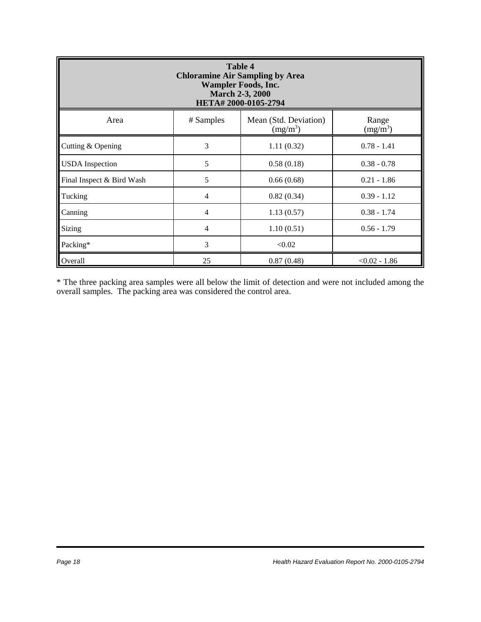| <b>Table 4</b><br><b>Chloramine Air Sampling by Area</b><br><b>Wampler Foods, Inc.</b><br><b>March 2-3, 2000</b><br>HETA# 2000-0105-2794 |                |                                     |                     |
|------------------------------------------------------------------------------------------------------------------------------------------|----------------|-------------------------------------|---------------------|
| Area                                                                                                                                     | # Samples      | Mean (Std. Deviation)<br>$(mg/m^3)$ | Range<br>$(mg/m^3)$ |
| Cutting & Opening                                                                                                                        | 3              | 1.11(0.32)                          | $0.78 - 1.41$       |
| <b>USDA</b> Inspection                                                                                                                   | 5              | 0.58(0.18)                          | $0.38 - 0.78$       |
| Final Inspect & Bird Wash                                                                                                                | 5              | 0.66(0.68)                          | $0.21 - 1.86$       |
| Tucking                                                                                                                                  | $\overline{4}$ | 0.82(0.34)                          | $0.39 - 1.12$       |
| Canning                                                                                                                                  | $\overline{4}$ | 1.13(0.57)                          | $0.38 - 1.74$       |
| Sizing                                                                                                                                   | $\overline{4}$ | 1.10(0.51)                          | $0.56 - 1.79$       |
| Packing*                                                                                                                                 | 3              | < 0.02                              |                     |
| Overall                                                                                                                                  | 25             | 0.87(0.48)                          | $< 0.02 - 1.86$     |

\* The three packing area samples were all below the limit of detection and were not included among the overall samples. The packing area was considered the control area.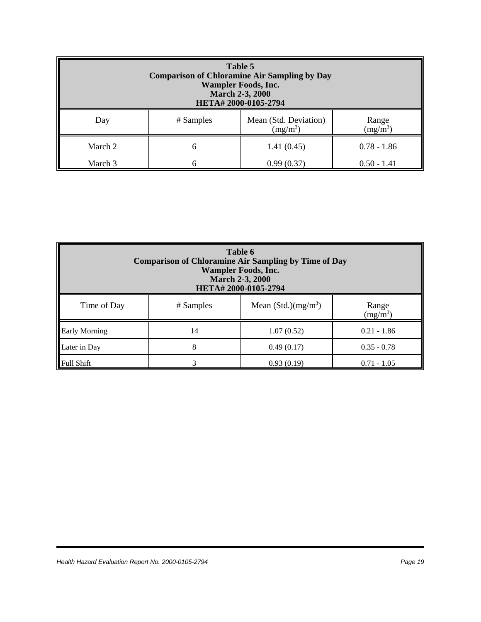| Table 5<br><b>Comparison of Chloramine Air Sampling by Day</b><br><b>Wampler Foods, Inc.</b><br><b>March 2-3, 2000</b><br>HETA#2000-0105-2794 |           |                                     |                     |
|-----------------------------------------------------------------------------------------------------------------------------------------------|-----------|-------------------------------------|---------------------|
| Day                                                                                                                                           | # Samples | Mean (Std. Deviation)<br>$(mg/m^3)$ | Range<br>$(mg/m^3)$ |
| March 2                                                                                                                                       | 6         | 1.41(0.45)                          | $0.78 - 1.86$       |
| March 3                                                                                                                                       | n         | 0.99(0.37)                          | $0.50 - 1.41$       |

| Table 6<br><b>Comparison of Chloramine Air Sampling by Time of Day</b><br><b>Wampler Foods, Inc.</b><br><b>March 2-3, 2000</b><br>HETA# 2000-0105-2794 |           |                       |                     |
|--------------------------------------------------------------------------------------------------------------------------------------------------------|-----------|-----------------------|---------------------|
| Time of Day                                                                                                                                            | # Samples | Mean $(Std.) (mg/m3)$ | Range<br>$(mg/m^3)$ |
| <b>Early Morning</b>                                                                                                                                   | 14        | 1.07(0.52)            | $0.21 - 1.86$       |
| Later in Day                                                                                                                                           | 8         | 0.49(0.17)            | $0.35 - 0.78$       |
| <b>Full Shift</b>                                                                                                                                      |           | 0.93(0.19)            | $0.71 - 1.05$       |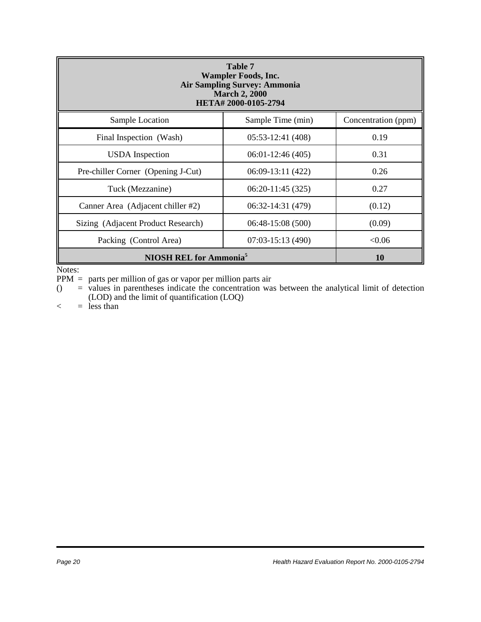| Table 7<br><b>Wampler Foods, Inc.</b><br><b>Air Sampling Survey: Ammonia</b><br><b>March 2, 2000</b><br>HETA#2000-0105-2794 |                    |                     |
|-----------------------------------------------------------------------------------------------------------------------------|--------------------|---------------------|
| Sample Location                                                                                                             | Sample Time (min)  | Concentration (ppm) |
| Final Inspection (Wash)                                                                                                     | $05:53-12:41(408)$ | 0.19                |
| <b>USDA</b> Inspection                                                                                                      | $06:01-12:46(405)$ | 0.31                |
| Pre-chiller Corner (Opening J-Cut)                                                                                          | 06:09-13:11 (422)  | 0.26                |
| Tuck (Mezzanine)                                                                                                            | $06:20-11:45(325)$ | 0.27                |
| Canner Area (Adjacent chiller #2)                                                                                           | 06:32-14:31 (479)  | (0.12)              |
| Sizing (Adjacent Product Research)                                                                                          | $06:48-15:08(500)$ | (0.09)              |
| Packing (Control Area)                                                                                                      | $07:03-15:13(490)$ | < 0.06              |
| <b>NIOSH REL for Ammonia<sup>5</sup></b>                                                                                    | <b>10</b>          |                     |

Notes:

PPM = parts per million of gas or vapor per million parts air

 $($  = values in parentheses indicate the concentration was between the analytical limit of detection (LOD) and the limit of quantification (LOQ)

 $\langle$  = less than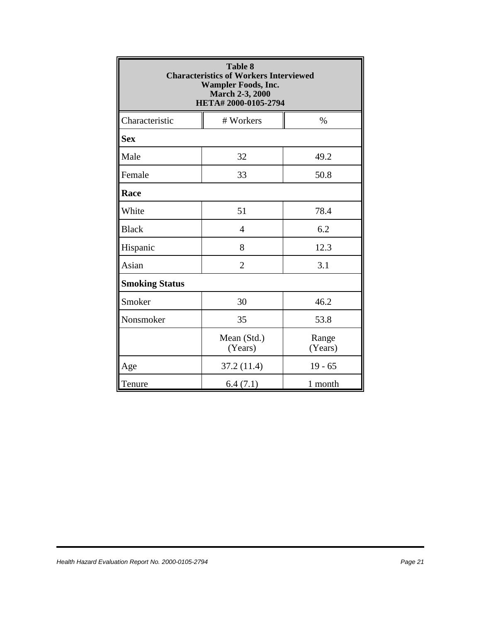|                       | <b>Table 8</b><br><b>Characteristics of Workers Interviewed</b><br><b>Wampler Foods, Inc.</b><br><b>March 2-3, 2000</b><br>HETA# 2000-0105-2794 |                  |
|-----------------------|-------------------------------------------------------------------------------------------------------------------------------------------------|------------------|
| Characteristic        | # Workers                                                                                                                                       | $\%$             |
| <b>Sex</b>            |                                                                                                                                                 |                  |
| Male                  | 32                                                                                                                                              | 49.2             |
| Female                | 33                                                                                                                                              | 50.8             |
| Race                  |                                                                                                                                                 |                  |
| White                 | 51                                                                                                                                              | 78.4             |
| <b>Black</b>          | 4                                                                                                                                               | 6.2              |
| Hispanic              | 8                                                                                                                                               | 12.3             |
| Asian                 | $\overline{2}$                                                                                                                                  | 3.1              |
| <b>Smoking Status</b> |                                                                                                                                                 |                  |
| Smoker                | 30                                                                                                                                              | 46.2             |
| Nonsmoker             | 35                                                                                                                                              | 53.8             |
|                       | Mean (Std.)<br>(Years)                                                                                                                          | Range<br>(Years) |
| Age                   | 37.2 (11.4)                                                                                                                                     | $19 - 65$        |
| Tenure                | 6.4(7.1)                                                                                                                                        | 1 month          |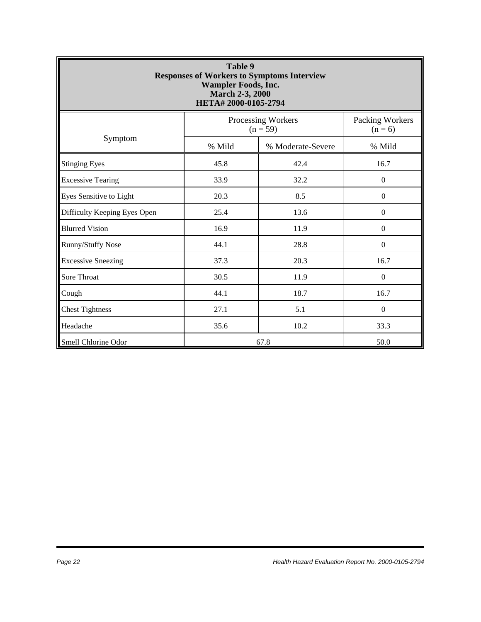| Table 9<br><b>Responses of Workers to Symptoms Interview</b><br><b>Wampler Foods, Inc.</b><br><b>March 2-3, 2000</b><br>HETA# 2000-0105-2794 |        |                                  |                              |  |
|----------------------------------------------------------------------------------------------------------------------------------------------|--------|----------------------------------|------------------------------|--|
|                                                                                                                                              |        | Processing Workers<br>$(n = 59)$ | Packing Workers<br>$(n = 6)$ |  |
| Symptom                                                                                                                                      | % Mild | % Moderate-Severe                | % Mild                       |  |
| <b>Stinging Eyes</b>                                                                                                                         | 45.8   | 42.4                             | 16.7                         |  |
| <b>Excessive Tearing</b>                                                                                                                     | 33.9   | 32.2                             | $\boldsymbol{0}$             |  |
| Eyes Sensitive to Light                                                                                                                      | 20.3   | 8.5                              | $\mathbf{0}$                 |  |
| Difficulty Keeping Eyes Open                                                                                                                 | 25.4   | 13.6                             | $\boldsymbol{0}$             |  |
| <b>Blurred Vision</b>                                                                                                                        | 16.9   | 11.9                             | $\boldsymbol{0}$             |  |
| Runny/Stuffy Nose                                                                                                                            | 44.1   | 28.8                             | $\mathbf{0}$                 |  |
| <b>Excessive Sneezing</b>                                                                                                                    | 37.3   | 20.3                             | 16.7                         |  |
| Sore Throat                                                                                                                                  | 30.5   | 11.9                             | $\Omega$                     |  |
| Cough                                                                                                                                        | 44.1   | 18.7                             | 16.7                         |  |
| <b>Chest Tightness</b>                                                                                                                       | 27.1   | 5.1                              | $\Omega$                     |  |
| Headache                                                                                                                                     | 35.6   | 10.2                             | 33.3                         |  |
| Smell Chlorine Odor                                                                                                                          |        | 67.8<br>50.0                     |                              |  |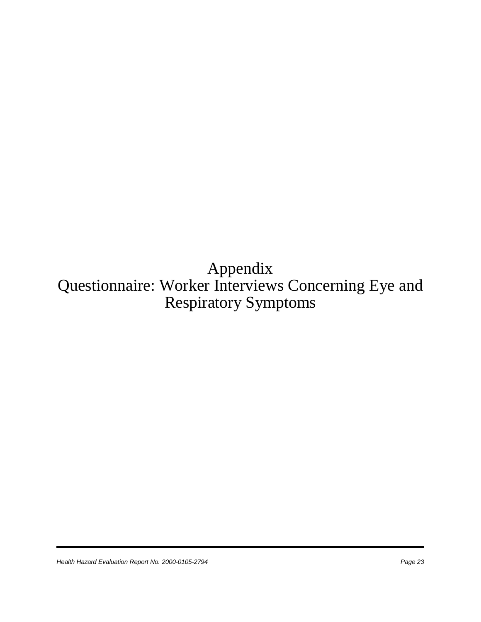Appendix Questionnaire: Worker Interviews Concerning Eye and Respiratory Symptoms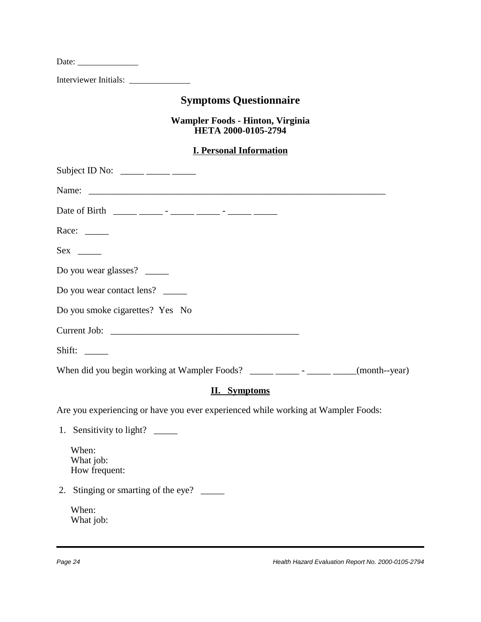| Date: $\frac{1}{\sqrt{1-\frac{1}{2}}\cdot\frac{1}{2}}$                                  |
|-----------------------------------------------------------------------------------------|
| Interviewer Initials: ________________                                                  |
| <b>Symptoms Questionnaire</b>                                                           |
| Wampler Foods - Hinton, Virginia<br>HETA 2000-0105-2794                                 |
| <b>I. Personal Information</b>                                                          |
| Subject ID No: $\_\_\_\_\_\_\_\_\_\_\_\_\_\_\_\_\_\_\_\_\_$                             |
| Name:                                                                                   |
| Date of Birth _____ _____ - _____ - _____ - _____ -                                     |
| Race: $\frac{ }{ }$                                                                     |
|                                                                                         |
| Do you wear glasses?                                                                    |
| Do you wear contact lens?                                                               |
| Do you smoke cigarettes? Yes No                                                         |
|                                                                                         |
| Shift: $\_\_$                                                                           |
| When did you begin working at Wampler Foods? _____________________________(month--year) |
| <b>II.</b> Symptoms                                                                     |
| Are you experiencing or have you ever experienced while working at Wampler Foods:       |
| 1. Sensitivity to light? ________                                                       |
| When:<br>What job:<br>How frequent:                                                     |
| 2. Stinging or smarting of the eye?                                                     |
| When:<br>What job:                                                                      |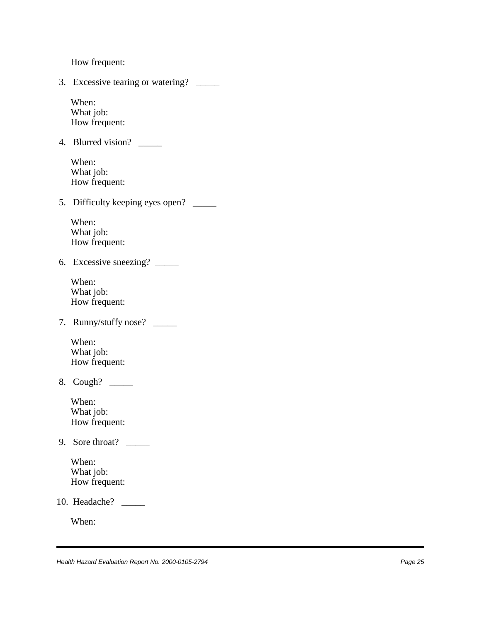How frequent:

 3. Excessive tearing or watering? \_\_\_\_\_ When: What job: How frequent: 4. Blurred vision? \_\_\_\_\_ When: What job: How frequent: 5. Difficulty keeping eyes open? \_\_\_\_\_\_ When: What job: How frequent: 6. Excessive sneezing? \_\_\_\_\_ When: What job: How frequent: 7. Runny/stuffy nose? \_\_\_\_\_ When: What job: How frequent: 8. Cough? \_\_\_\_\_ When: What job: How frequent: 9. Sore throat? \_\_\_\_\_ When: What job: How frequent: 10. Headache? \_\_\_\_\_ When: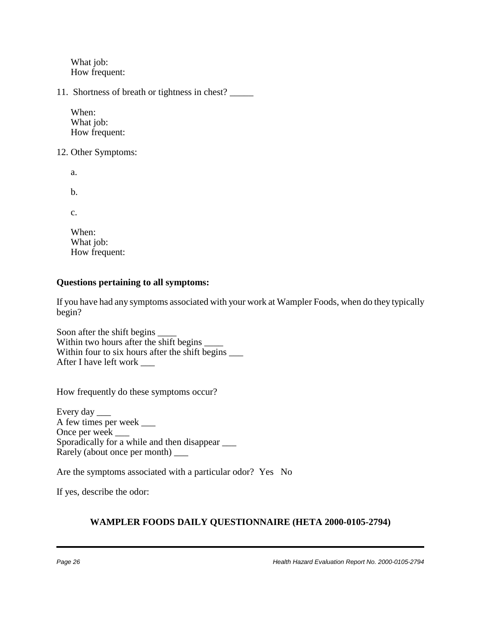What job: How frequent:

11. Shortness of breath or tightness in chest? \_\_\_\_\_

When: What *job*: How frequent:

12. Other Symptoms:

a.

b.

c.

When: What job: How frequent:

#### **Questions pertaining to all symptoms:**

If you have had any symptoms associated with your work at Wampler Foods, when do they typically begin?

Soon after the shift begins \_\_\_\_ Within two hours after the shift begins Within four to six hours after the shift begins  $\frac{1}{\sqrt{2}}$ After I have left work \_\_\_

How frequently do these symptoms occur?

Every day \_\_\_\_\_ A few times per week \_\_\_ Once per week \_\_\_ Sporadically for a while and then disappear  $\frac{1}{\sqrt{2\pi}}$ Rarely (about once per month) \_\_\_

Are the symptoms associated with a particular odor? Yes No

If yes, describe the odor:

#### **WAMPLER FOODS DAILY QUESTIONNAIRE (HETA 2000-0105-2794)**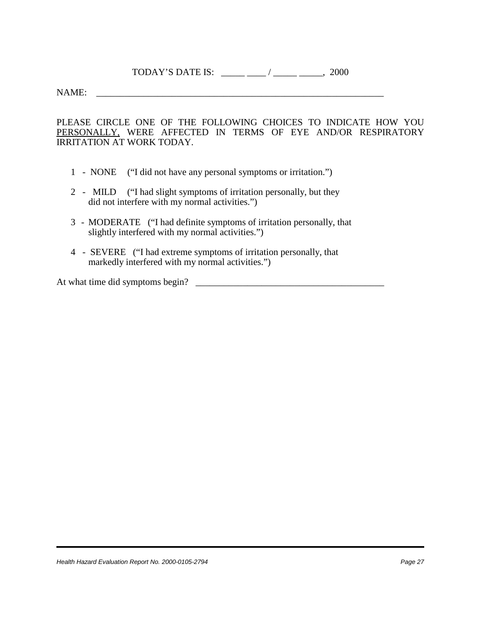TODAY'S DATE IS:  $\frac{1}{2}$  /  $\frac{1}{2000}$ 

NAME:

PLEASE CIRCLE ONE OF THE FOLLOWING CHOICES TO INDICATE HOW YOU PERSONALLY, WERE AFFECTED IN TERMS OF EYE AND/OR RESPIRATORY IRRITATION AT WORK TODAY.

- 1 NONE ("I did not have any personal symptoms or irritation.")
- 2 MILD ("I had slight symptoms of irritation personally, but they did not interfere with my normal activities.")
- 3 MODERATE ("I had definite symptoms of irritation personally, that slightly interfered with my normal activities.")
- 4 SEVERE ("I had extreme symptoms of irritation personally, that markedly interfered with my normal activities.")

At what time did symptoms begin? \_\_\_\_\_\_\_\_\_\_\_\_\_\_\_\_\_\_\_\_\_\_\_\_\_\_\_\_\_\_\_\_\_\_\_\_\_\_\_\_